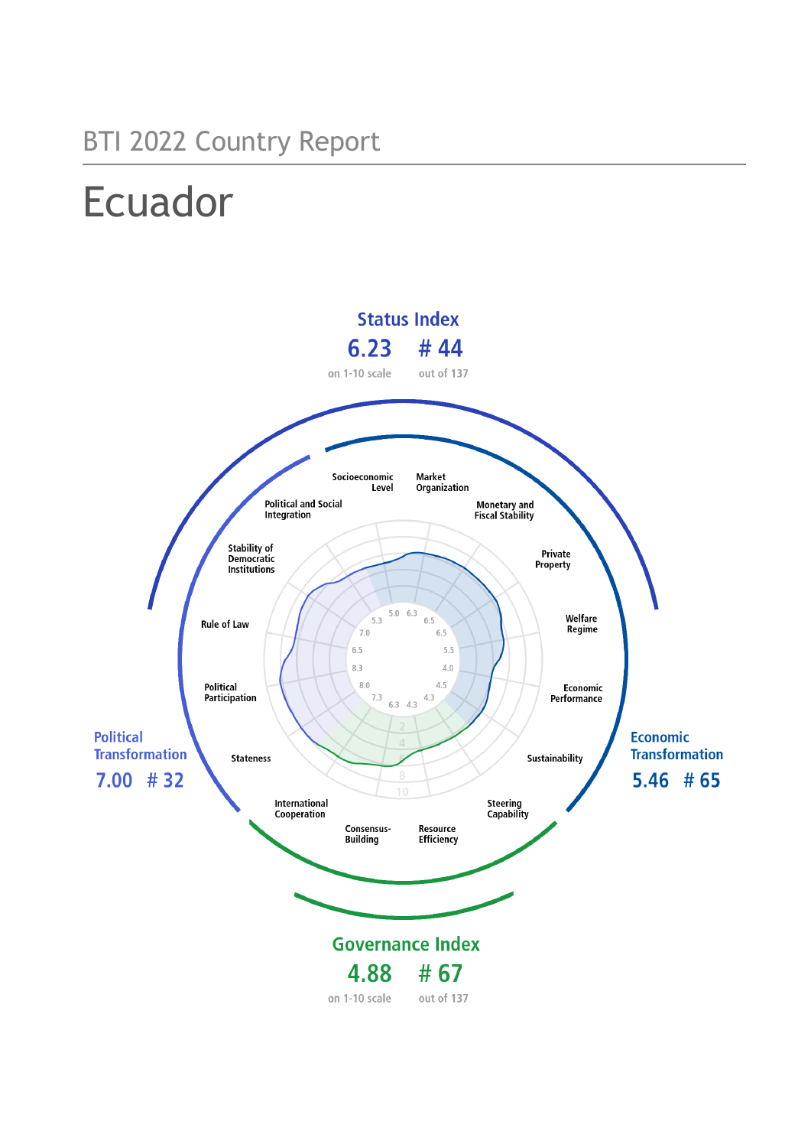## BTI 2022 Country Report

# Ecuador

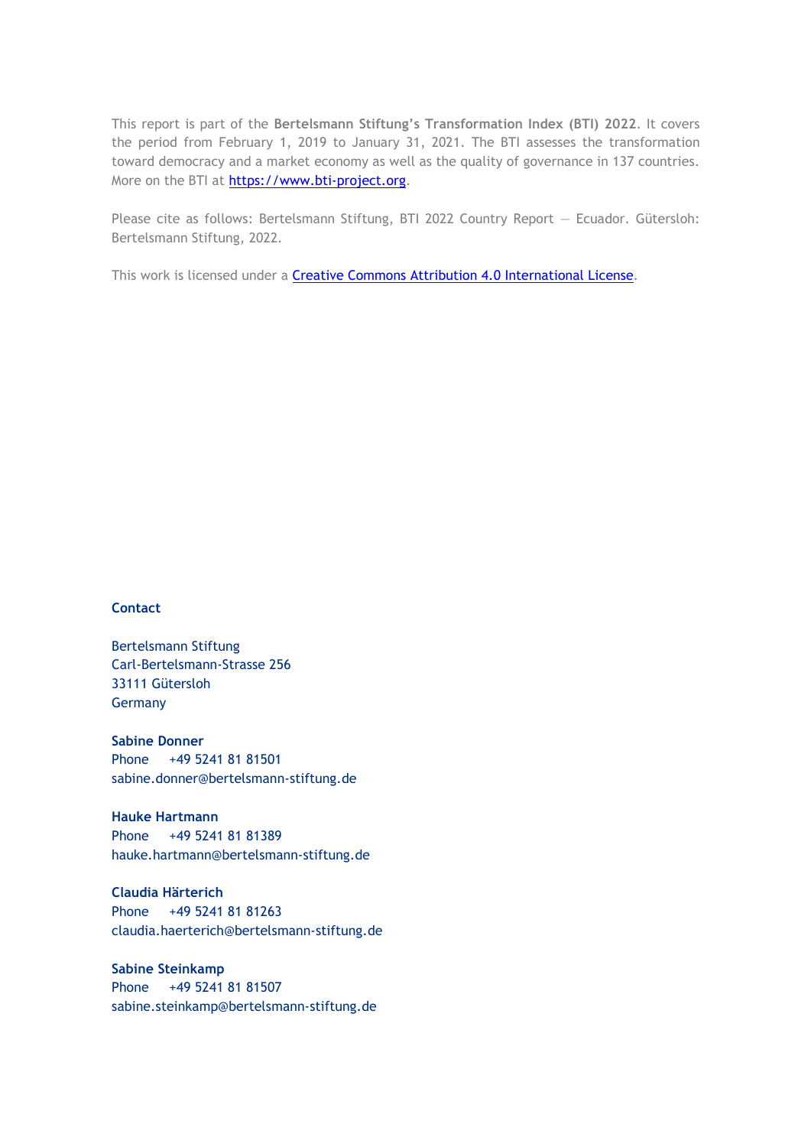This report is part of the **Bertelsmann Stiftung's Transformation Index (BTI) 2022**. It covers the period from February 1, 2019 to January 31, 2021. The BTI assesses the transformation toward democracy and a market economy as well as the quality of governance in 137 countries. More on the BTI at [https://www.bti-project.org.](https://www.bti-project.org/)

Please cite as follows: Bertelsmann Stiftung, BTI 2022 Country Report — Ecuador. Gütersloh: Bertelsmann Stiftung, 2022.

This work is licensed under a **Creative Commons Attribution 4.0 International License**.

### **Contact**

Bertelsmann Stiftung Carl-Bertelsmann-Strasse 256 33111 Gütersloh Germany

**Sabine Donner** Phone +49 5241 81 81501 sabine.donner@bertelsmann-stiftung.de

**Hauke Hartmann** Phone +49 5241 81 81389 hauke.hartmann@bertelsmann-stiftung.de

**Claudia Härterich** Phone +49 5241 81 81263 claudia.haerterich@bertelsmann-stiftung.de

### **Sabine Steinkamp** Phone +49 5241 81 81507 sabine.steinkamp@bertelsmann-stiftung.de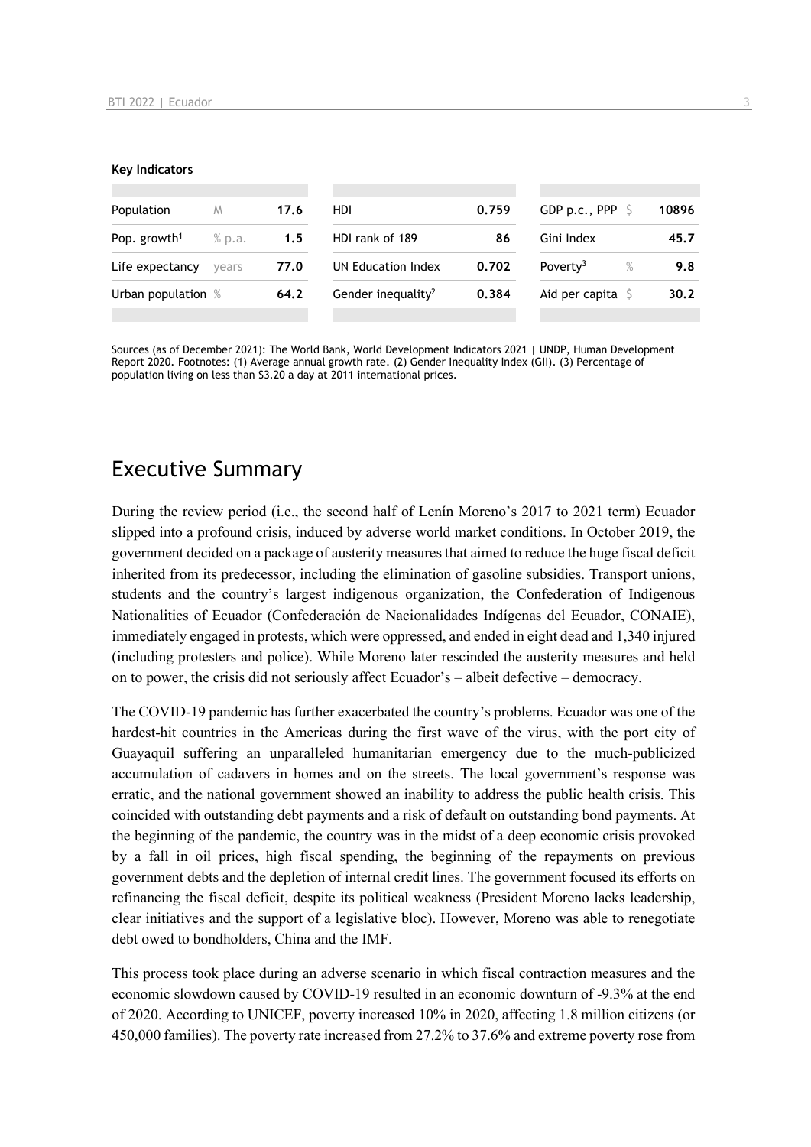#### **Key Indicators**

| Population               | M      | 17.6 | HDI                            | 0.759 | GDP p.c., PPP $\sqrt{5}$   | 10896 |
|--------------------------|--------|------|--------------------------------|-------|----------------------------|-------|
| Pop. growth <sup>1</sup> | % p.a. | 1.5  | HDI rank of 189                | 86    | Gini Index                 | 45.7  |
| Life expectancy          | vears  | 77.0 | UN Education Index             | 0.702 | Poverty <sup>3</sup><br>%  | 9.8   |
| Urban population %       |        | 64.2 | Gender inequality <sup>2</sup> | 0.384 | Aid per capita $\mathsf S$ | 30.2  |
|                          |        |      |                                |       |                            |       |

Sources (as of December 2021): The World Bank, World Development Indicators 2021 | UNDP, Human Development Report 2020. Footnotes: (1) Average annual growth rate. (2) Gender Inequality Index (GII). (3) Percentage of population living on less than \$3.20 a day at 2011 international prices.

## Executive Summary

During the review period (i.e., the second half of Lenín Moreno's 2017 to 2021 term) Ecuador slipped into a profound crisis, induced by adverse world market conditions. In October 2019, the government decided on a package of austerity measures that aimed to reduce the huge fiscal deficit inherited from its predecessor, including the elimination of gasoline subsidies. Transport unions, students and the country's largest indigenous organization, the Confederation of Indigenous Nationalities of Ecuador (Confederación de Nacionalidades Indígenas del Ecuador, CONAIE), immediately engaged in protests, which were oppressed, and ended in eight dead and 1,340 injured (including protesters and police). While Moreno later rescinded the austerity measures and held on to power, the crisis did not seriously affect Ecuador's – albeit defective – democracy.

The COVID-19 pandemic has further exacerbated the country's problems. Ecuador was one of the hardest-hit countries in the Americas during the first wave of the virus, with the port city of Guayaquil suffering an unparalleled humanitarian emergency due to the much-publicized accumulation of cadavers in homes and on the streets. The local government's response was erratic, and the national government showed an inability to address the public health crisis. This coincided with outstanding debt payments and a risk of default on outstanding bond payments. At the beginning of the pandemic, the country was in the midst of a deep economic crisis provoked by a fall in oil prices, high fiscal spending, the beginning of the repayments on previous government debts and the depletion of internal credit lines. The government focused its efforts on refinancing the fiscal deficit, despite its political weakness (President Moreno lacks leadership, clear initiatives and the support of a legislative bloc). However, Moreno was able to renegotiate debt owed to bondholders, China and the IMF.

This process took place during an adverse scenario in which fiscal contraction measures and the economic slowdown caused by COVID-19 resulted in an economic downturn of -9.3% at the end of 2020. According to UNICEF, poverty increased 10% in 2020, affecting 1.8 million citizens (or 450,000 families). The poverty rate increased from 27.2% to 37.6% and extreme poverty rose from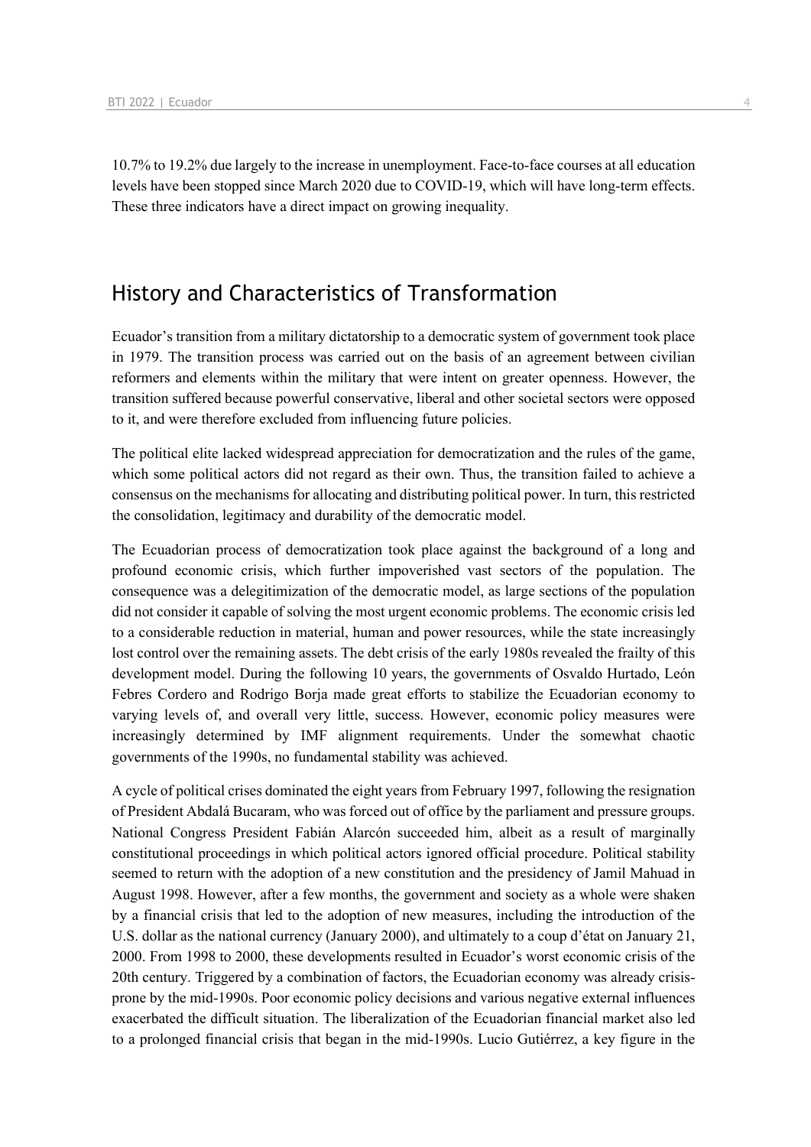10.7% to 19.2% due largely to the increase in unemployment. Face-to-face courses at all education levels have been stopped since March 2020 due to COVID-19, which will have long-term effects. These three indicators have a direct impact on growing inequality.

## History and Characteristics of Transformation

Ecuador's transition from a military dictatorship to a democratic system of government took place in 1979. The transition process was carried out on the basis of an agreement between civilian reformers and elements within the military that were intent on greater openness. However, the transition suffered because powerful conservative, liberal and other societal sectors were opposed to it, and were therefore excluded from influencing future policies.

The political elite lacked widespread appreciation for democratization and the rules of the game, which some political actors did not regard as their own. Thus, the transition failed to achieve a consensus on the mechanisms for allocating and distributing political power. In turn, this restricted the consolidation, legitimacy and durability of the democratic model.

The Ecuadorian process of democratization took place against the background of a long and profound economic crisis, which further impoverished vast sectors of the population. The consequence was a delegitimization of the democratic model, as large sections of the population did not consider it capable of solving the most urgent economic problems. The economic crisis led to a considerable reduction in material, human and power resources, while the state increasingly lost control over the remaining assets. The debt crisis of the early 1980s revealed the frailty of this development model. During the following 10 years, the governments of Osvaldo Hurtado, León Febres Cordero and Rodrigo Borja made great efforts to stabilize the Ecuadorian economy to varying levels of, and overall very little, success. However, economic policy measures were increasingly determined by IMF alignment requirements. Under the somewhat chaotic governments of the 1990s, no fundamental stability was achieved.

A cycle of political crises dominated the eight years from February 1997, following the resignation of President Abdalá Bucaram, who was forced out of office by the parliament and pressure groups. National Congress President Fabián Alarcón succeeded him, albeit as a result of marginally constitutional proceedings in which political actors ignored official procedure. Political stability seemed to return with the adoption of a new constitution and the presidency of Jamil Mahuad in August 1998. However, after a few months, the government and society as a whole were shaken by a financial crisis that led to the adoption of new measures, including the introduction of the U.S. dollar as the national currency (January 2000), and ultimately to a coup d'état on January 21, 2000. From 1998 to 2000, these developments resulted in Ecuador's worst economic crisis of the 20th century. Triggered by a combination of factors, the Ecuadorian economy was already crisisprone by the mid-1990s. Poor economic policy decisions and various negative external influences exacerbated the difficult situation. The liberalization of the Ecuadorian financial market also led to a prolonged financial crisis that began in the mid-1990s. Lucio Gutiérrez, a key figure in the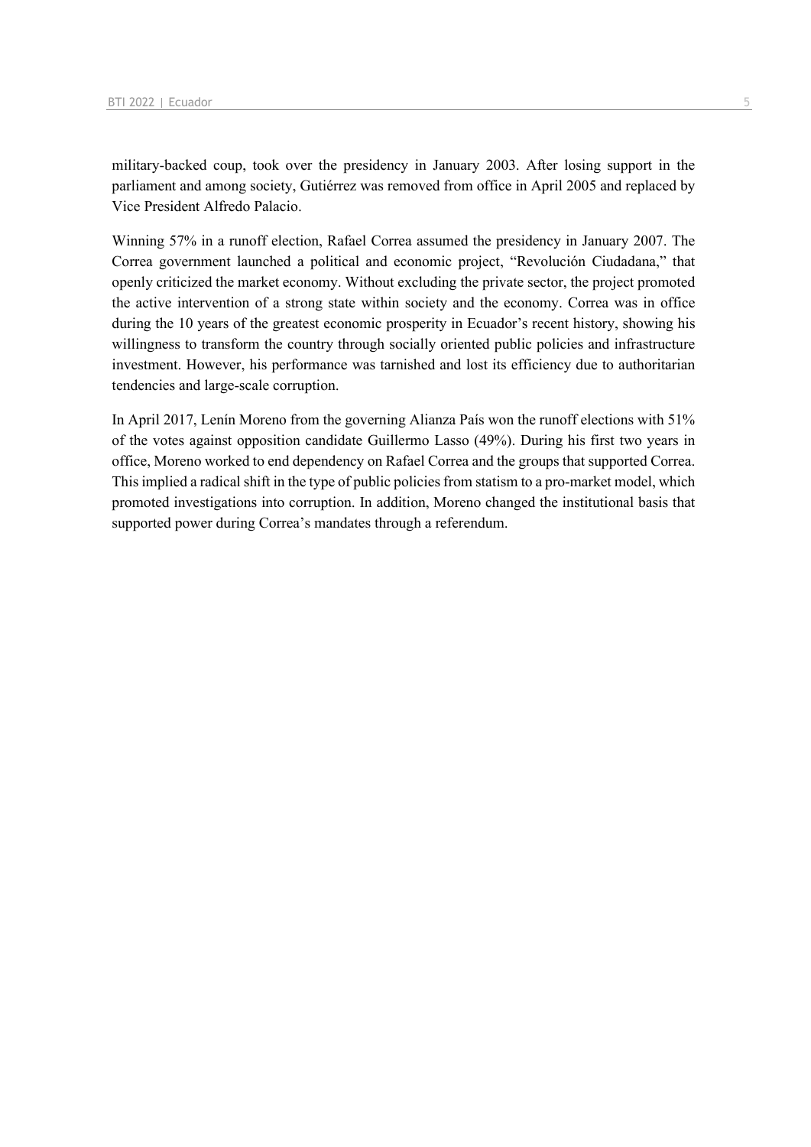military-backed coup, took over the presidency in January 2003. After losing support in the parliament and among society, Gutiérrez was removed from office in April 2005 and replaced by Vice President Alfredo Palacio.

Winning 57% in a runoff election, Rafael Correa assumed the presidency in January 2007. The Correa government launched a political and economic project, "Revolución Ciudadana," that openly criticized the market economy. Without excluding the private sector, the project promoted the active intervention of a strong state within society and the economy. Correa was in office during the 10 years of the greatest economic prosperity in Ecuador's recent history, showing his willingness to transform the country through socially oriented public policies and infrastructure investment. However, his performance was tarnished and lost its efficiency due to authoritarian tendencies and large-scale corruption.

In April 2017, Lenín Moreno from the governing Alianza País won the runoff elections with 51% of the votes against opposition candidate Guillermo Lasso (49%). During his first two years in office, Moreno worked to end dependency on Rafael Correa and the groups that supported Correa. This implied a radical shift in the type of public policies from statism to a pro-market model, which promoted investigations into corruption. In addition, Moreno changed the institutional basis that supported power during Correa's mandates through a referendum.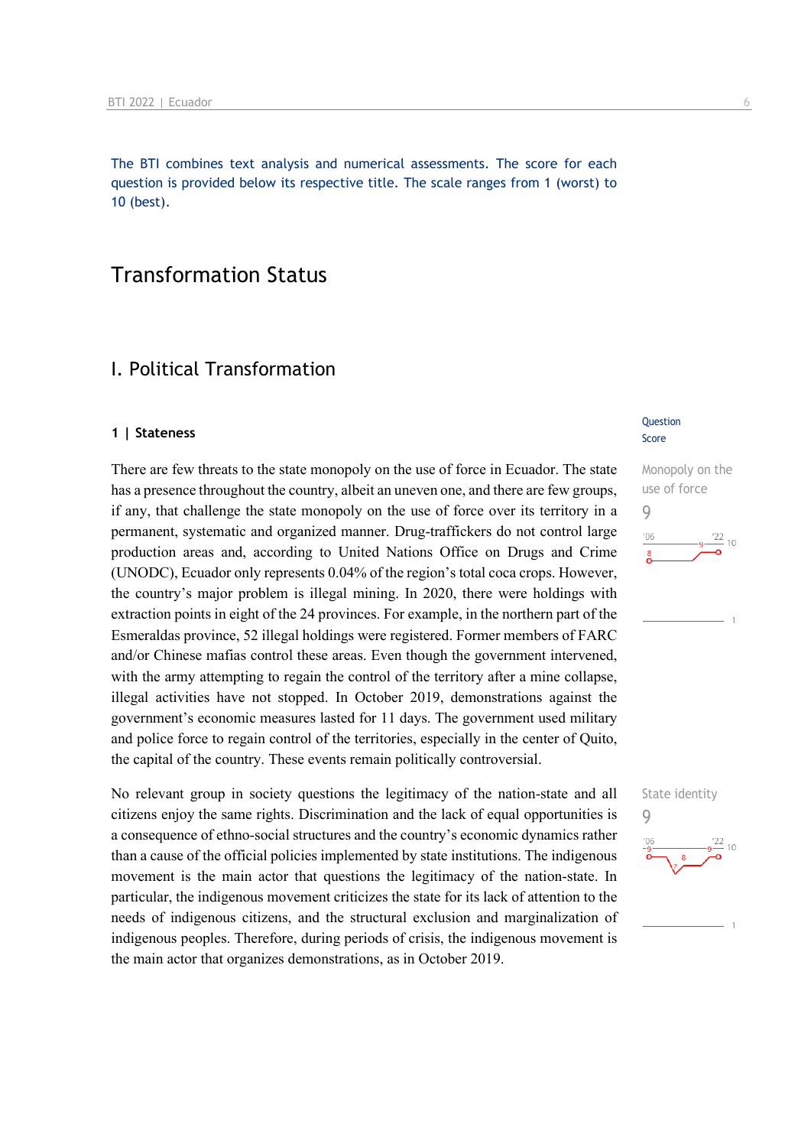The BTI combines text analysis and numerical assessments. The score for each question is provided below its respective title. The scale ranges from 1 (worst) to 10 (best).

## Transformation Status

## I. Political Transformation

### **1 | Stateness**

There are few threats to the state monopoly on the use of force in Ecuador. The state has a presence throughout the country, albeit an uneven one, and there are few groups, if any, that challenge the state monopoly on the use of force over its territory in a permanent, systematic and organized manner. Drug-traffickers do not control large production areas and, according to United Nations Office on Drugs and Crime (UNODC), Ecuador only represents 0.04% of the region's total coca crops. However, the country's major problem is illegal mining. In 2020, there were holdings with extraction points in eight of the 24 provinces. For example, in the northern part of the Esmeraldas province, 52 illegal holdings were registered. Former members of FARC and/or Chinese mafias control these areas. Even though the government intervened, with the army attempting to regain the control of the territory after a mine collapse, illegal activities have not stopped. In October 2019, demonstrations against the government's economic measures lasted for 11 days. The government used military and police force to regain control of the territories, especially in the center of Quito, the capital of the country. These events remain politically controversial.

No relevant group in society questions the legitimacy of the nation-state and all citizens enjoy the same rights. Discrimination and the lack of equal opportunities is a consequence of ethno-social structures and the country's economic dynamics rather than a cause of the official policies implemented by state institutions. The indigenous movement is the main actor that questions the legitimacy of the nation-state. In particular, the indigenous movement criticizes the state for its lack of attention to the needs of indigenous citizens, and the structural exclusion and marginalization of indigenous peoples. Therefore, during periods of crisis, the indigenous movement is the main actor that organizes demonstrations, as in October 2019.

### **Question** Score



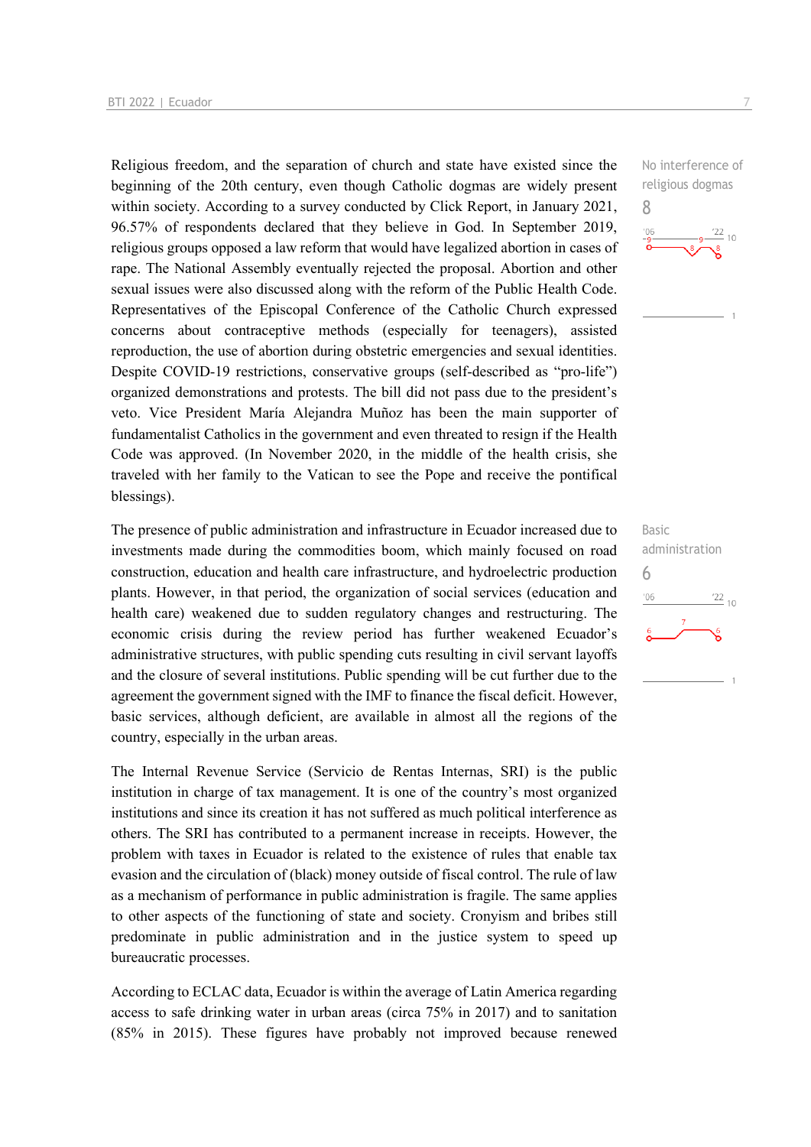Religious freedom, and the separation of church and state have existed since the beginning of the 20th century, even though Catholic dogmas are widely present within society. According to a survey conducted by Click Report, in January 2021, 96.57% of respondents declared that they believe in God. In September 2019, religious groups opposed a law reform that would have legalized abortion in cases of rape. The National Assembly eventually rejected the proposal. Abortion and other sexual issues were also discussed along with the reform of the Public Health Code. Representatives of the Episcopal Conference of the Catholic Church expressed concerns about contraceptive methods (especially for teenagers), assisted reproduction, the use of abortion during obstetric emergencies and sexual identities. Despite COVID-19 restrictions, conservative groups (self-described as "pro-life") organized demonstrations and protests. The bill did not pass due to the president's veto. Vice President María Alejandra Muñoz has been the main supporter of fundamentalist Catholics in the government and even threated to resign if the Health Code was approved. (In November 2020, in the middle of the health crisis, she traveled with her family to the Vatican to see the Pope and receive the pontifical blessings).

The presence of public administration and infrastructure in Ecuador increased due to investments made during the commodities boom, which mainly focused on road construction, education and health care infrastructure, and hydroelectric production plants. However, in that period, the organization of social services (education and health care) weakened due to sudden regulatory changes and restructuring. The economic crisis during the review period has further weakened Ecuador's administrative structures, with public spending cuts resulting in civil servant layoffs and the closure of several institutions. Public spending will be cut further due to the agreement the government signed with the IMF to finance the fiscal deficit. However, basic services, although deficient, are available in almost all the regions of the country, especially in the urban areas.

The Internal Revenue Service (Servicio de Rentas Internas, SRI) is the public institution in charge of tax management. It is one of the country's most organized institutions and since its creation it has not suffered as much political interference as others. The SRI has contributed to a permanent increase in receipts. However, the problem with taxes in Ecuador is related to the existence of rules that enable tax evasion and the circulation of (black) money outside of fiscal control. The rule of law as a mechanism of performance in public administration is fragile. The same applies to other aspects of the functioning of state and society. Cronyism and bribes still predominate in public administration and in the justice system to speed up bureaucratic processes.

According to ECLAC data, Ecuador is within the average of Latin America regarding access to safe drinking water in urban areas (circa 75% in 2017) and to sanitation (85% in 2015). These figures have probably not improved because renewed

No interference of religious dogmas 8



Basic administration 6 $\frac{22}{10}$  $06'$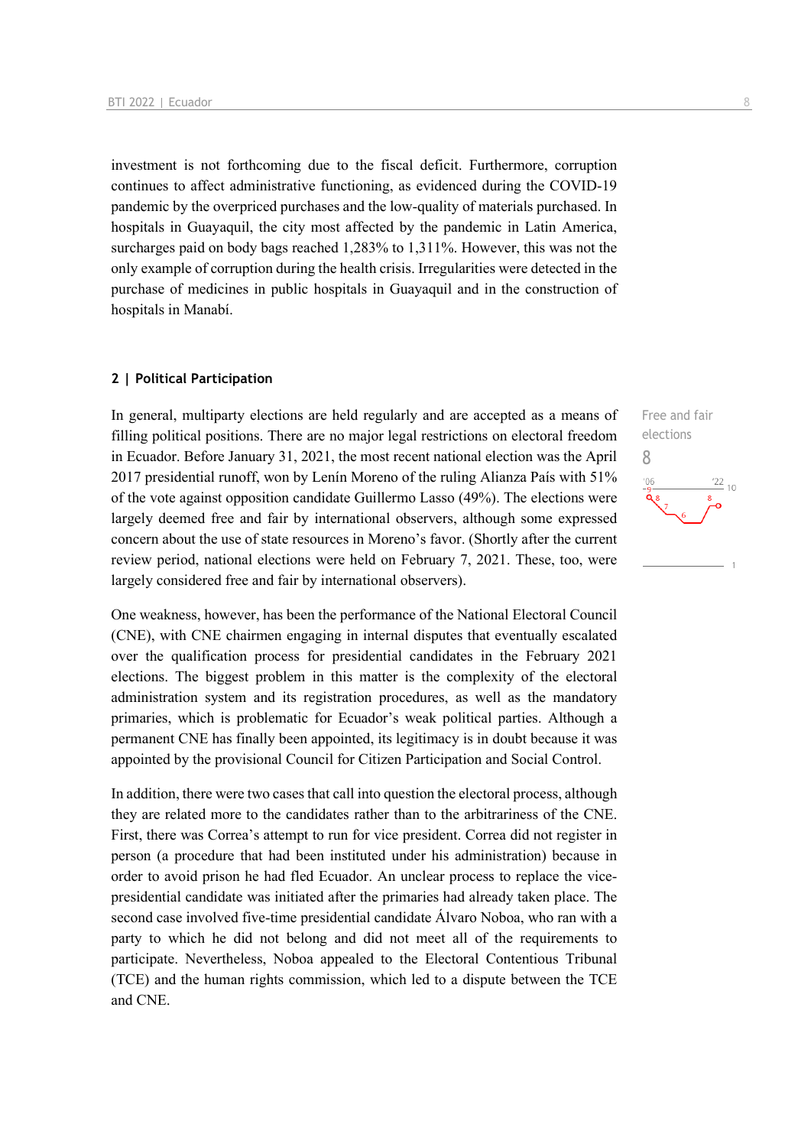investment is not forthcoming due to the fiscal deficit. Furthermore, corruption continues to affect administrative functioning, as evidenced during the COVID-19 pandemic by the overpriced purchases and the low-quality of materials purchased. In hospitals in Guayaquil, the city most affected by the pandemic in Latin America, surcharges paid on body bags reached 1,283% to 1,311%. However, this was not the only example of corruption during the health crisis. Irregularities were detected in the purchase of medicines in public hospitals in Guayaquil and in the construction of hospitals in Manabí.

### **2 | Political Participation**

In general, multiparty elections are held regularly and are accepted as a means of filling political positions. There are no major legal restrictions on electoral freedom in Ecuador. Before January 31, 2021, the most recent national election was the April 2017 presidential runoff, won by Lenín Moreno of the ruling Alianza País with 51% of the vote against opposition candidate Guillermo Lasso (49%). The elections were largely deemed free and fair by international observers, although some expressed concern about the use of state resources in Moreno's favor. (Shortly after the current review period, national elections were held on February 7, 2021. These, too, were largely considered free and fair by international observers).

One weakness, however, has been the performance of the National Electoral Council (CNE), with CNE chairmen engaging in internal disputes that eventually escalated over the qualification process for presidential candidates in the February 2021 elections. The biggest problem in this matter is the complexity of the electoral administration system and its registration procedures, as well as the mandatory primaries, which is problematic for Ecuador's weak political parties. Although a permanent CNE has finally been appointed, its legitimacy is in doubt because it was appointed by the provisional Council for Citizen Participation and Social Control.

In addition, there were two cases that call into question the electoral process, although they are related more to the candidates rather than to the arbitrariness of the CNE. First, there was Correa's attempt to run for vice president. Correa did not register in person (a procedure that had been instituted under his administration) because in order to avoid prison he had fled Ecuador. An unclear process to replace the vicepresidential candidate was initiated after the primaries had already taken place. The second case involved five-time presidential candidate Álvaro Noboa, who ran with a party to which he did not belong and did not meet all of the requirements to participate. Nevertheless, Noboa appealed to the Electoral Contentious Tribunal (TCE) and the human rights commission, which led to a dispute between the TCE and CNE.

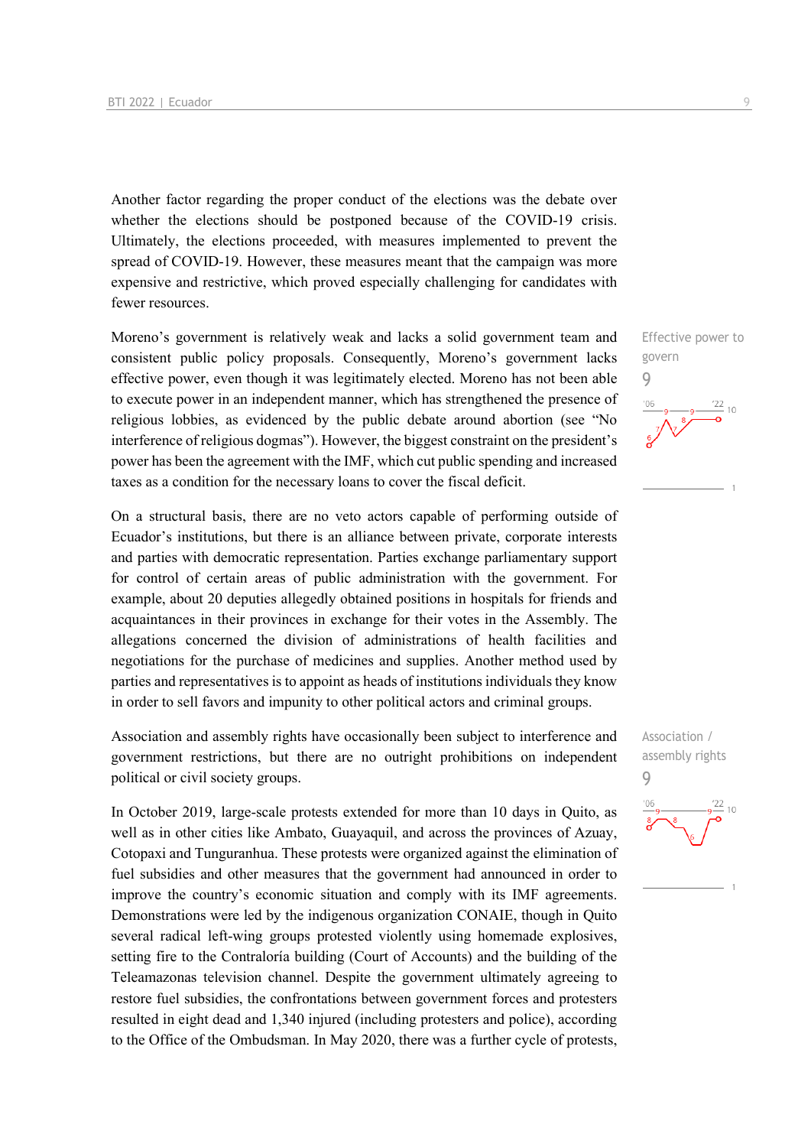Another factor regarding the proper conduct of the elections was the debate over whether the elections should be postponed because of the COVID-19 crisis. Ultimately, the elections proceeded, with measures implemented to prevent the spread of COVID-19. However, these measures meant that the campaign was more expensive and restrictive, which proved especially challenging for candidates with fewer resources.

Moreno's government is relatively weak and lacks a solid government team and consistent public policy proposals. Consequently, Moreno's government lacks effective power, even though it was legitimately elected. Moreno has not been able to execute power in an independent manner, which has strengthened the presence of religious lobbies, as evidenced by the public debate around abortion (see "No interference of religious dogmas"). However, the biggest constraint on the president's power has been the agreement with the IMF, which cut public spending and increased taxes as a condition for the necessary loans to cover the fiscal deficit.

On a structural basis, there are no veto actors capable of performing outside of Ecuador's institutions, but there is an alliance between private, corporate interests and parties with democratic representation. Parties exchange parliamentary support for control of certain areas of public administration with the government. For example, about 20 deputies allegedly obtained positions in hospitals for friends and acquaintances in their provinces in exchange for their votes in the Assembly. The allegations concerned the division of administrations of health facilities and negotiations for the purchase of medicines and supplies. Another method used by parties and representatives is to appoint as heads of institutions individuals they know in order to sell favors and impunity to other political actors and criminal groups.

Association and assembly rights have occasionally been subject to interference and government restrictions, but there are no outright prohibitions on independent political or civil society groups.

In October 2019, large-scale protests extended for more than 10 days in Quito, as well as in other cities like Ambato, Guayaquil, and across the provinces of Azuay, Cotopaxi and Tunguranhua. These protests were organized against the elimination of fuel subsidies and other measures that the government had announced in order to improve the country's economic situation and comply with its IMF agreements. Demonstrations were led by the indigenous organization CONAIE, though in Quito several radical left-wing groups protested violently using homemade explosives, setting fire to the Contraloría building (Court of Accounts) and the building of the Teleamazonas television channel. Despite the government ultimately agreeing to restore fuel subsidies, the confrontations between government forces and protesters resulted in eight dead and 1,340 injured (including protesters and police), according to the Office of the Ombudsman. In May 2020, there was a further cycle of protests,

Effective power to govern 9

Association / assembly rights 9 $10$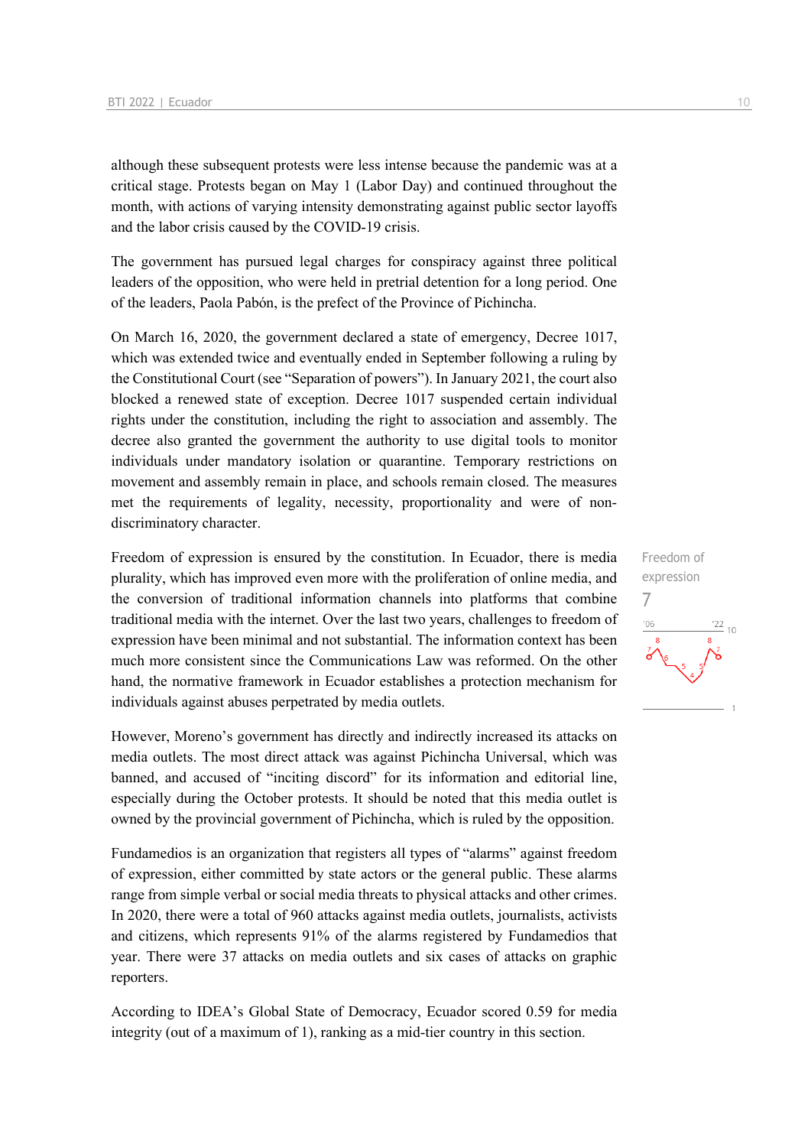although these subsequent protests were less intense because the pandemic was at a critical stage. Protests began on May 1 (Labor Day) and continued throughout the month, with actions of varying intensity demonstrating against public sector layoffs and the labor crisis caused by the COVID-19 crisis.

The government has pursued legal charges for conspiracy against three political leaders of the opposition, who were held in pretrial detention for a long period. One of the leaders, Paola Pabón, is the prefect of the Province of Pichincha.

On March 16, 2020, the government declared a state of emergency, Decree 1017, which was extended twice and eventually ended in September following a ruling by the Constitutional Court (see "Separation of powers"). In January 2021, the court also blocked a renewed state of exception. Decree 1017 suspended certain individual rights under the constitution, including the right to association and assembly. The decree also granted the government the authority to use digital tools to monitor individuals under mandatory isolation or quarantine. Temporary restrictions on movement and assembly remain in place, and schools remain closed. The measures met the requirements of legality, necessity, proportionality and were of nondiscriminatory character.

Freedom of expression is ensured by the constitution. In Ecuador, there is media plurality, which has improved even more with the proliferation of online media, and the conversion of traditional information channels into platforms that combine traditional media with the internet. Over the last two years, challenges to freedom of expression have been minimal and not substantial. The information context has been much more consistent since the Communications Law was reformed. On the other hand, the normative framework in Ecuador establishes a protection mechanism for individuals against abuses perpetrated by media outlets.

However, Moreno's government has directly and indirectly increased its attacks on media outlets. The most direct attack was against Pichincha Universal, which was banned, and accused of "inciting discord" for its information and editorial line, especially during the October protests. It should be noted that this media outlet is owned by the provincial government of Pichincha, which is ruled by the opposition.

Fundamedios is an organization that registers all types of "alarms" against freedom of expression, either committed by state actors or the general public. These alarms range from simple verbal or social media threats to physical attacks and other crimes. In 2020, there were a total of 960 attacks against media outlets, journalists, activists and citizens, which represents 91% of the alarms registered by Fundamedios that year. There were 37 attacks on media outlets and six cases of attacks on graphic reporters.

According to IDEA's Global State of Democracy, Ecuador scored 0.59 for media integrity (out of a maximum of 1), ranking as a mid-tier country in this section.

Freedom of expression 7 $106$  $'22$  $10$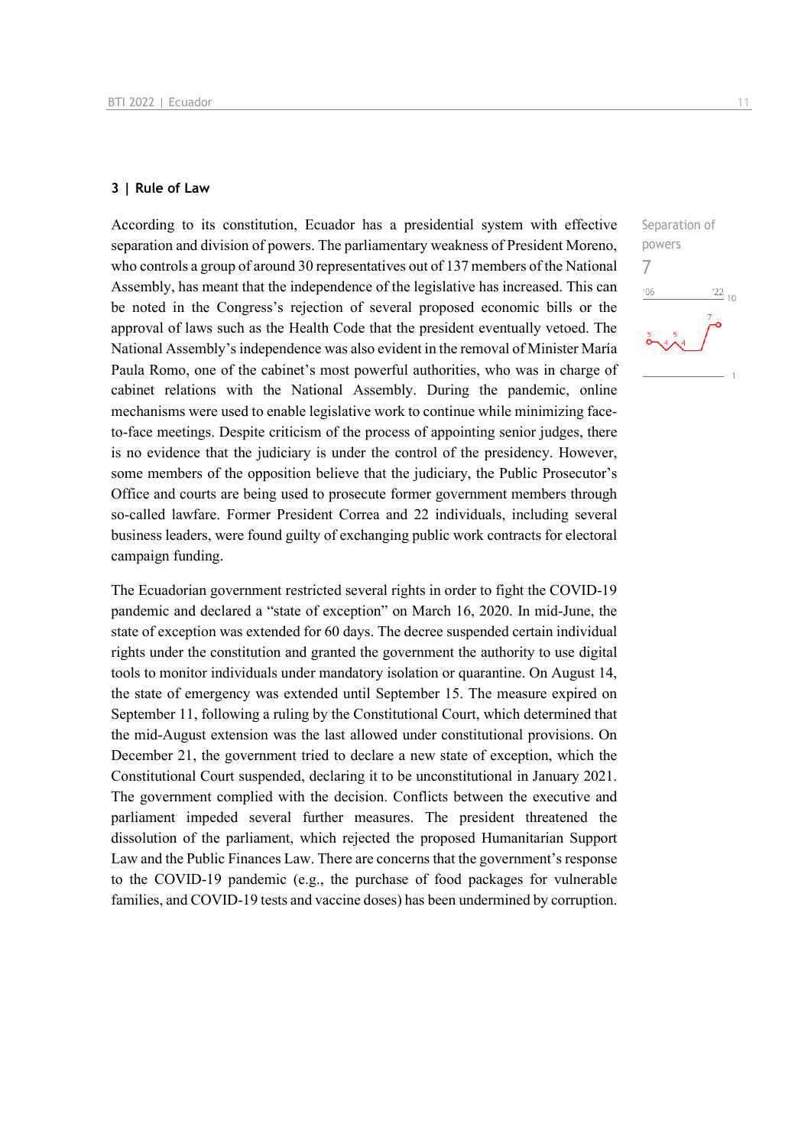### **3 | Rule of Law**

According to its constitution, Ecuador has a presidential system with effective separation and division of powers. The parliamentary weakness of President Moreno, who controls a group of around 30 representatives out of 137 members of the National Assembly, has meant that the independence of the legislative has increased. This can be noted in the Congress's rejection of several proposed economic bills or the approval of laws such as the Health Code that the president eventually vetoed. The National Assembly's independence was also evident in the removal of Minister María Paula Romo, one of the cabinet's most powerful authorities, who was in charge of cabinet relations with the National Assembly. During the pandemic, online mechanisms were used to enable legislative work to continue while minimizing faceto-face meetings. Despite criticism of the process of appointing senior judges, there is no evidence that the judiciary is under the control of the presidency. However, some members of the opposition believe that the judiciary, the Public Prosecutor's Office and courts are being used to prosecute former government members through so-called lawfare. Former President Correa and 22 individuals, including several business leaders, were found guilty of exchanging public work contracts for electoral campaign funding.

The Ecuadorian government restricted several rights in order to fight the COVID-19 pandemic and declared a "state of exception" on March 16, 2020. In mid-June, the state of exception was extended for 60 days. The decree suspended certain individual rights under the constitution and granted the government the authority to use digital tools to monitor individuals under mandatory isolation or quarantine. On August 14, the state of emergency was extended until September 15. The measure expired on September 11, following a ruling by the Constitutional Court, which determined that the mid-August extension was the last allowed under constitutional provisions. On December 21, the government tried to declare a new state of exception, which the Constitutional Court suspended, declaring it to be unconstitutional in January 2021. The government complied with the decision. Conflicts between the executive and parliament impeded several further measures. The president threatened the dissolution of the parliament, which rejected the proposed Humanitarian Support Law and the Public Finances Law. There are concerns that the government's response to the COVID-19 pandemic (e.g., the purchase of food packages for vulnerable families, and COVID-19 tests and vaccine doses) has been undermined by corruption.

Separation of powers 7 $06'$  $\frac{22}{10}$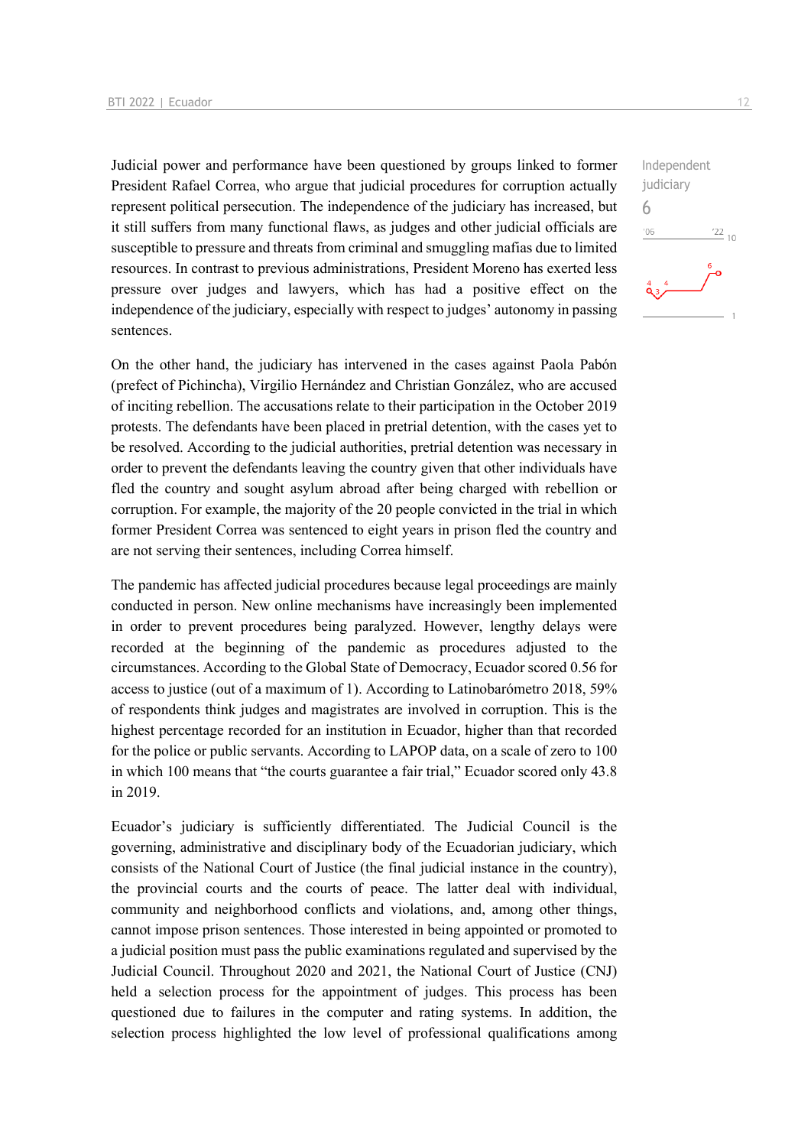Judicial power and performance have been questioned by groups linked to former President Rafael Correa, who argue that judicial procedures for corruption actually represent political persecution. The independence of the judiciary has increased, but it still suffers from many functional flaws, as judges and other judicial officials are susceptible to pressure and threats from criminal and smuggling mafias due to limited resources. In contrast to previous administrations, President Moreno has exerted less pressure over judges and lawyers, which has had a positive effect on the independence of the judiciary, especially with respect to judges' autonomy in passing sentences.

On the other hand, the judiciary has intervened in the cases against Paola Pabón (prefect of Pichincha), Virgilio Hernández and Christian González, who are accused of inciting rebellion. The accusations relate to their participation in the October 2019 protests. The defendants have been placed in pretrial detention, with the cases yet to be resolved. According to the judicial authorities, pretrial detention was necessary in order to prevent the defendants leaving the country given that other individuals have fled the country and sought asylum abroad after being charged with rebellion or corruption. For example, the majority of the 20 people convicted in the trial in which former President Correa was sentenced to eight years in prison fled the country and are not serving their sentences, including Correa himself.

The pandemic has affected judicial procedures because legal proceedings are mainly conducted in person. New online mechanisms have increasingly been implemented in order to prevent procedures being paralyzed. However, lengthy delays were recorded at the beginning of the pandemic as procedures adjusted to the circumstances. According to the Global State of Democracy, Ecuador scored 0.56 for access to justice (out of a maximum of 1). According to Latinobarómetro 2018, 59% of respondents think judges and magistrates are involved in corruption. This is the highest percentage recorded for an institution in Ecuador, higher than that recorded for the police or public servants. According to LAPOP data, on a scale of zero to 100 in which 100 means that "the courts guarantee a fair trial," Ecuador scored only 43.8 in 2019.

Ecuador's judiciary is sufficiently differentiated. The Judicial Council is the governing, administrative and disciplinary body of the Ecuadorian judiciary, which consists of the National Court of Justice (the final judicial instance in the country), the provincial courts and the courts of peace. The latter deal with individual, community and neighborhood conflicts and violations, and, among other things, cannot impose prison sentences. Those interested in being appointed or promoted to a judicial position must pass the public examinations regulated and supervised by the Judicial Council. Throughout 2020 and 2021, the National Court of Justice (CNJ) held a selection process for the appointment of judges. This process has been questioned due to failures in the computer and rating systems. In addition, the selection process highlighted the low level of professional qualifications among  $\frac{22}{10}$ 

Independent judiciary

6 $^{\prime}06$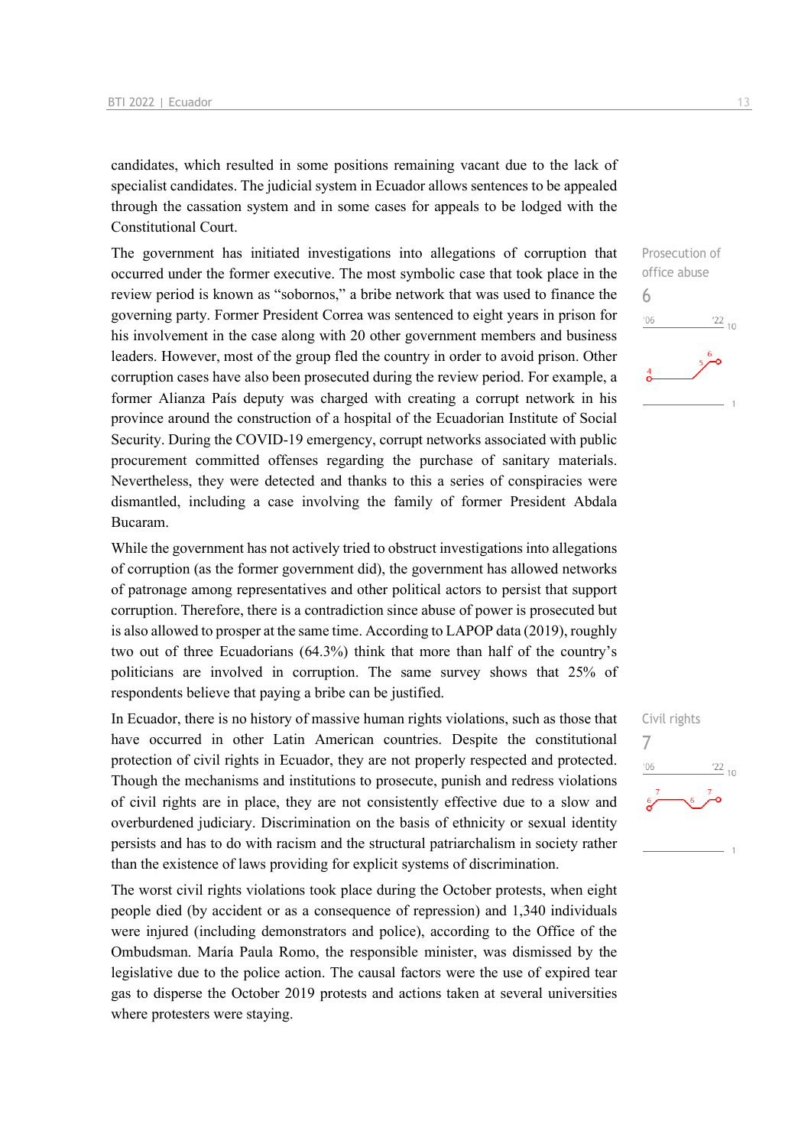candidates, which resulted in some positions remaining vacant due to the lack of specialist candidates. The judicial system in Ecuador allows sentences to be appealed through the cassation system and in some cases for appeals to be lodged with the Constitutional Court.

The government has initiated investigations into allegations of corruption that occurred under the former executive. The most symbolic case that took place in the review period is known as "sobornos," a bribe network that was used to finance the governing party. Former President Correa was sentenced to eight years in prison for his involvement in the case along with 20 other government members and business leaders. However, most of the group fled the country in order to avoid prison. Other corruption cases have also been prosecuted during the review period. For example, a former Alianza País deputy was charged with creating a corrupt network in his province around the construction of a hospital of the Ecuadorian Institute of Social Security. During the COVID-19 emergency, corrupt networks associated with public procurement committed offenses regarding the purchase of sanitary materials. Nevertheless, they were detected and thanks to this a series of conspiracies were dismantled, including a case involving the family of former President Abdala Bucaram.

While the government has not actively tried to obstruct investigations into allegations of corruption (as the former government did), the government has allowed networks of patronage among representatives and other political actors to persist that support corruption. Therefore, there is a contradiction since abuse of power is prosecuted but is also allowed to prosper at the same time. According to LAPOP data (2019), roughly two out of three Ecuadorians (64.3%) think that more than half of the country's politicians are involved in corruption. The same survey shows that 25% of respondents believe that paying a bribe can be justified.

In Ecuador, there is no history of massive human rights violations, such as those that have occurred in other Latin American countries. Despite the constitutional protection of civil rights in Ecuador, they are not properly respected and protected. Though the mechanisms and institutions to prosecute, punish and redress violations of civil rights are in place, they are not consistently effective due to a slow and overburdened judiciary. Discrimination on the basis of ethnicity or sexual identity persists and has to do with racism and the structural patriarchalism in society rather than the existence of laws providing for explicit systems of discrimination.

The worst civil rights violations took place during the October protests, when eight people died (by accident or as a consequence of repression) and 1,340 individuals were injured (including demonstrators and police), according to the Office of the Ombudsman. María Paula Romo, the responsible minister, was dismissed by the legislative due to the police action. The causal factors were the use of expired tear gas to disperse the October 2019 protests and actions taken at several universities where protesters were staying.

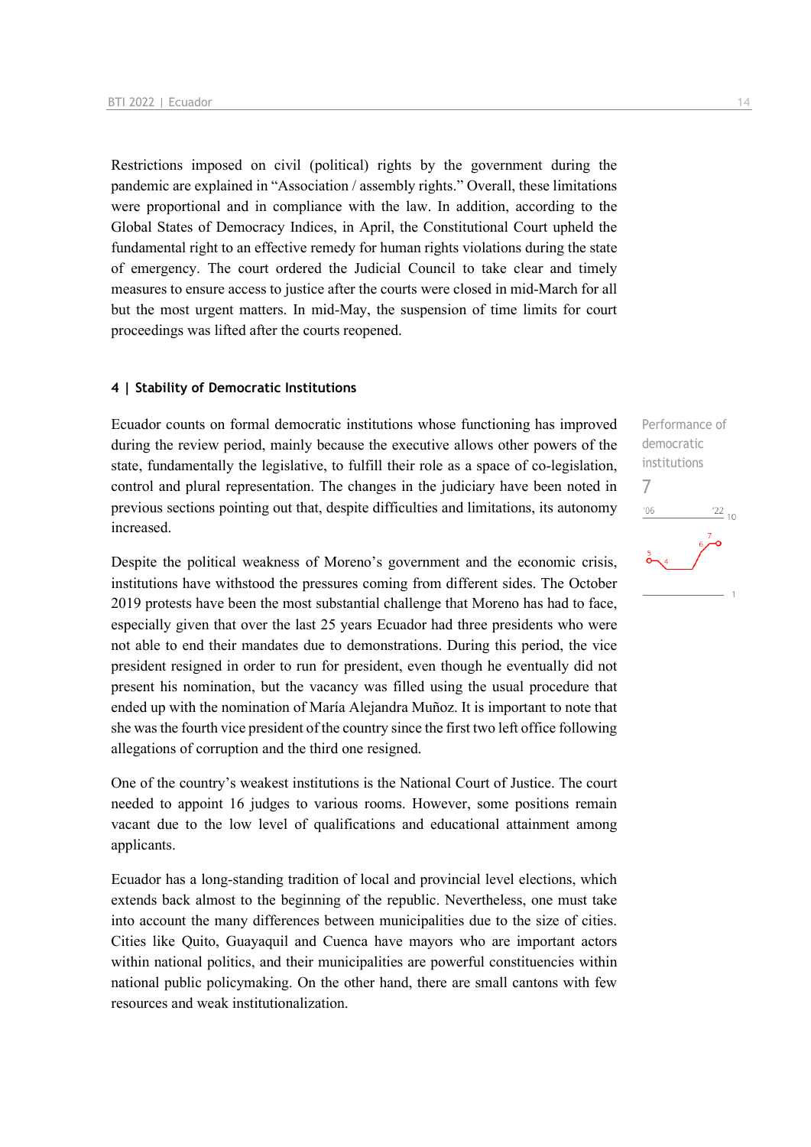Restrictions imposed on civil (political) rights by the government during the pandemic are explained in "Association / assembly rights." Overall, these limitations were proportional and in compliance with the law. In addition, according to the Global States of Democracy Indices, in April, the Constitutional Court upheld the fundamental right to an effective remedy for human rights violations during the state of emergency. The court ordered the Judicial Council to take clear and timely measures to ensure access to justice after the courts were closed in mid-March for all but the most urgent matters. In mid-May, the suspension of time limits for court proceedings was lifted after the courts reopened.

### **4 | Stability of Democratic Institutions**

Ecuador counts on formal democratic institutions whose functioning has improved during the review period, mainly because the executive allows other powers of the state, fundamentally the legislative, to fulfill their role as a space of co-legislation, control and plural representation. The changes in the judiciary have been noted in previous sections pointing out that, despite difficulties and limitations, its autonomy increased.

Despite the political weakness of Moreno's government and the economic crisis, institutions have withstood the pressures coming from different sides. The October 2019 protests have been the most substantial challenge that Moreno has had to face, especially given that over the last 25 years Ecuador had three presidents who were not able to end their mandates due to demonstrations. During this period, the vice president resigned in order to run for president, even though he eventually did not present his nomination, but the vacancy was filled using the usual procedure that ended up with the nomination of María Alejandra Muñoz. It is important to note that she was the fourth vice president of the country since the first two left office following allegations of corruption and the third one resigned.

One of the country's weakest institutions is the National Court of Justice. The court needed to appoint 16 judges to various rooms. However, some positions remain vacant due to the low level of qualifications and educational attainment among applicants.

Ecuador has a long-standing tradition of local and provincial level elections, which extends back almost to the beginning of the republic. Nevertheless, one must take into account the many differences between municipalities due to the size of cities. Cities like Quito, Guayaquil and Cuenca have mayors who are important actors within national politics, and their municipalities are powerful constituencies within national public policymaking. On the other hand, there are small cantons with few resources and weak institutionalization.

Performance of democratic institutions 7 $-06$  $^{22}_{-10}$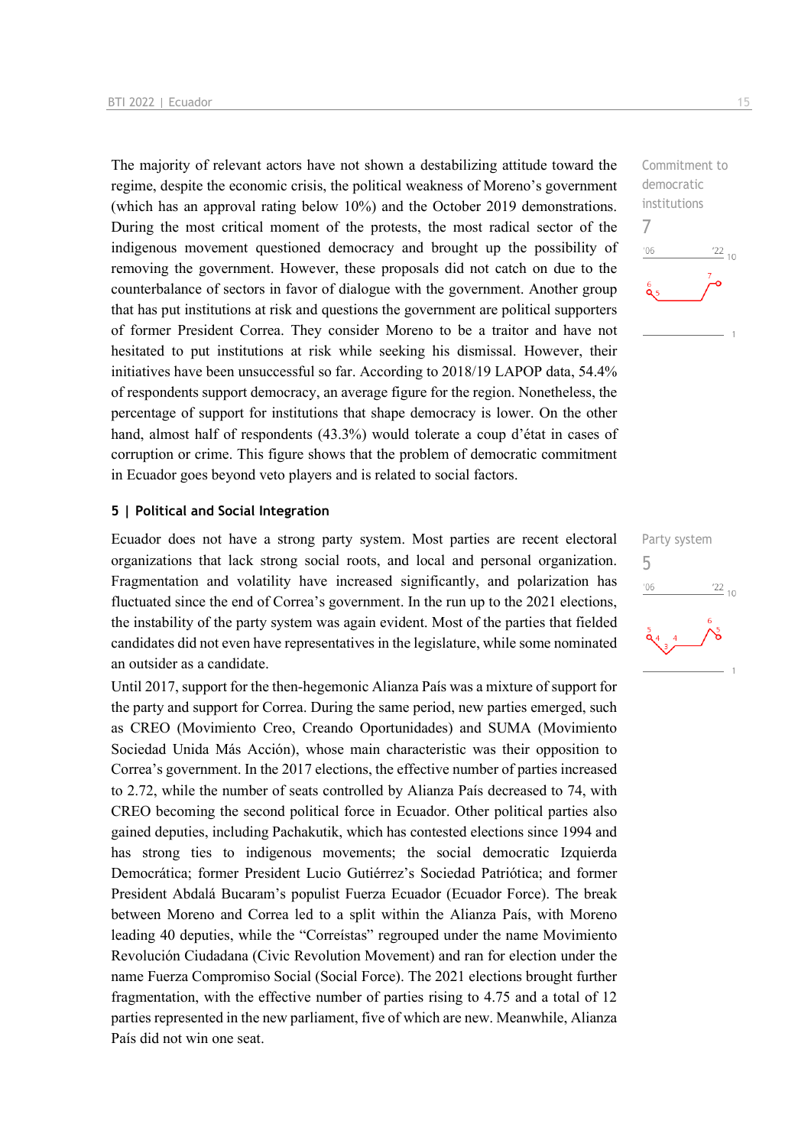The majority of relevant actors have not shown a destabilizing attitude toward the regime, despite the economic crisis, the political weakness of Moreno's government (which has an approval rating below 10%) and the October 2019 demonstrations. During the most critical moment of the protests, the most radical sector of the indigenous movement questioned democracy and brought up the possibility of removing the government. However, these proposals did not catch on due to the counterbalance of sectors in favor of dialogue with the government. Another group that has put institutions at risk and questions the government are political supporters of former President Correa. They consider Moreno to be a traitor and have not hesitated to put institutions at risk while seeking his dismissal. However, their initiatives have been unsuccessful so far. According to 2018/19 LAPOP data, 54.4% of respondents support democracy, an average figure for the region. Nonetheless, the percentage of support for institutions that shape democracy is lower. On the other hand, almost half of respondents (43.3%) would tolerate a coup d'état in cases of corruption or crime. This figure shows that the problem of democratic commitment in Ecuador goes beyond veto players and is related to social factors.

### **5 | Political and Social Integration**

Ecuador does not have a strong party system. Most parties are recent electoral organizations that lack strong social roots, and local and personal organization. Fragmentation and volatility have increased significantly, and polarization has fluctuated since the end of Correa's government. In the run up to the 2021 elections, the instability of the party system was again evident. Most of the parties that fielded candidates did not even have representatives in the legislature, while some nominated an outsider as a candidate.

Until 2017, support for the then-hegemonic Alianza País was a mixture of support for the party and support for Correa. During the same period, new parties emerged, such as CREO (Movimiento Creo, Creando Oportunidades) and SUMA (Movimiento Sociedad Unida Más Acción), whose main characteristic was their opposition to Correa's government. In the 2017 elections, the effective number of parties increased to 2.72, while the number of seats controlled by Alianza País decreased to 74, with CREO becoming the second political force in Ecuador. Other political parties also gained deputies, including Pachakutik, which has contested elections since 1994 and has strong ties to indigenous movements; the social democratic Izquierda Democrática; former President Lucio Gutiérrez's Sociedad Patriótica; and former President Abdalá Bucaram's populist Fuerza Ecuador (Ecuador Force). The break between Moreno and Correa led to a split within the Alianza País, with Moreno leading 40 deputies, while the "Correístas" regrouped under the name Movimiento Revolución Ciudadana (Civic Revolution Movement) and ran for election under the name Fuerza Compromiso Social (Social Force). The 2021 elections brought further fragmentation, with the effective number of parties rising to 4.75 and a total of 12 parties represented in the new parliament, five of which are new. Meanwhile, Alianza País did not win one seat.

Commitment to democratic institutions 7  $n<sub>6</sub>$  $\frac{22}{10}$ 

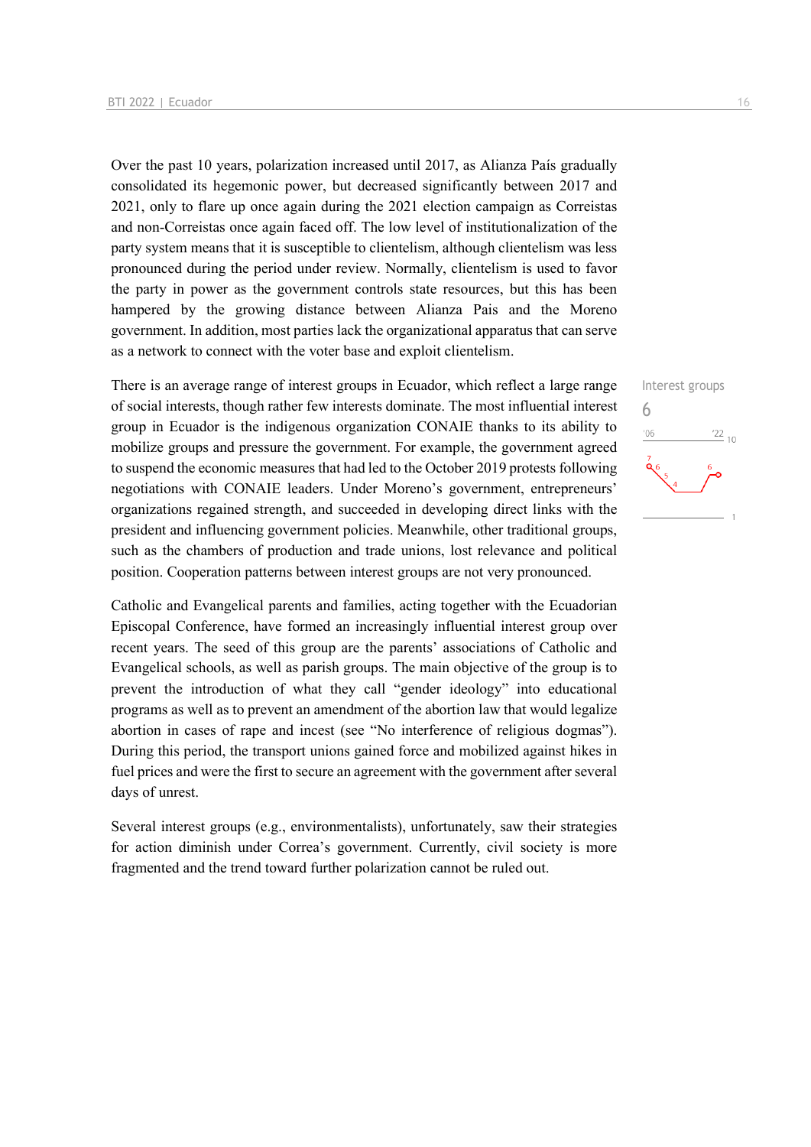Over the past 10 years, polarization increased until 2017, as Alianza País gradually consolidated its hegemonic power, but decreased significantly between 2017 and 2021, only to flare up once again during the 2021 election campaign as Correistas and non-Correistas once again faced off. The low level of institutionalization of the party system means that it is susceptible to clientelism, although clientelism was less pronounced during the period under review. Normally, clientelism is used to favor the party in power as the government controls state resources, but this has been hampered by the growing distance between Alianza Pais and the Moreno government. In addition, most parties lack the organizational apparatus that can serve as a network to connect with the voter base and exploit clientelism.

There is an average range of interest groups in Ecuador, which reflect a large range of social interests, though rather few interests dominate. The most influential interest group in Ecuador is the indigenous organization CONAIE thanks to its ability to mobilize groups and pressure the government. For example, the government agreed to suspend the economic measures that had led to the October 2019 protests following negotiations with CONAIE leaders. Under Moreno's government, entrepreneurs' organizations regained strength, and succeeded in developing direct links with the president and influencing government policies. Meanwhile, other traditional groups, such as the chambers of production and trade unions, lost relevance and political position. Cooperation patterns between interest groups are not very pronounced.

Catholic and Evangelical parents and families, acting together with the Ecuadorian Episcopal Conference, have formed an increasingly influential interest group over recent years. The seed of this group are the parents' associations of Catholic and Evangelical schools, as well as parish groups. The main objective of the group is to prevent the introduction of what they call "gender ideology" into educational programs as well as to prevent an amendment of the abortion law that would legalize abortion in cases of rape and incest (see "No interference of religious dogmas"). During this period, the transport unions gained force and mobilized against hikes in fuel prices and were the first to secure an agreement with the government after several days of unrest.

Several interest groups (e.g., environmentalists), unfortunately, saw their strategies for action diminish under Correa's government. Currently, civil society is more fragmented and the trend toward further polarization cannot be ruled out.

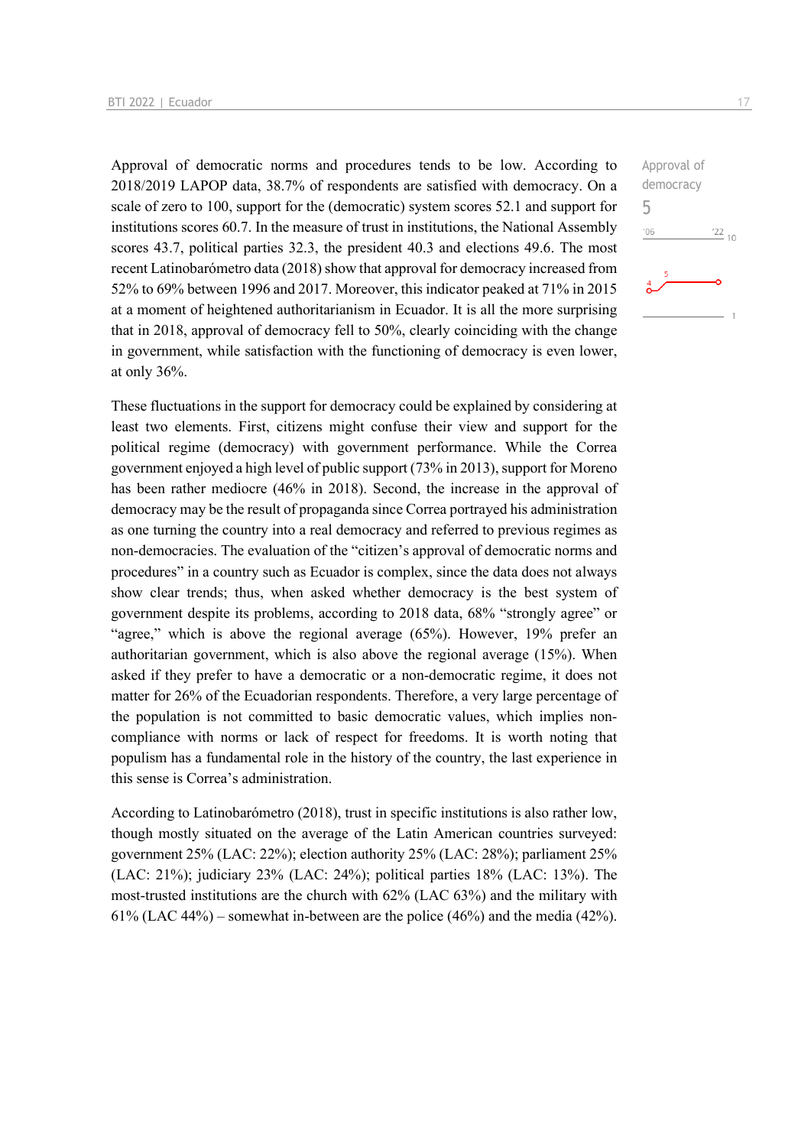Approval of democratic norms and procedures tends to be low. According to 2018/2019 LAPOP data, 38.7% of respondents are satisfied with democracy. On a scale of zero to 100, support for the (democratic) system scores 52.1 and support for institutions scores 60.7. In the measure of trust in institutions, the National Assembly scores 43.7, political parties 32.3, the president 40.3 and elections 49.6. The most recent Latinobarómetro data (2018) show that approval for democracy increased from 52% to 69% between 1996 and 2017. Moreover, this indicator peaked at 71% in 2015 at a moment of heightened authoritarianism in Ecuador. It is all the more surprising that in 2018, approval of democracy fell to 50%, clearly coinciding with the change in government, while satisfaction with the functioning of democracy is even lower, at only 36%.

These fluctuations in the support for democracy could be explained by considering at least two elements. First, citizens might confuse their view and support for the political regime (democracy) with government performance. While the Correa government enjoyed a high level of public support (73% in 2013), support for Moreno has been rather mediocre (46% in 2018). Second, the increase in the approval of democracy may be the result of propaganda since Correa portrayed his administration as one turning the country into a real democracy and referred to previous regimes as non-democracies. The evaluation of the "citizen's approval of democratic norms and procedures" in a country such as Ecuador is complex, since the data does not always show clear trends; thus, when asked whether democracy is the best system of government despite its problems, according to 2018 data, 68% "strongly agree" or "agree," which is above the regional average (65%). However, 19% prefer an authoritarian government, which is also above the regional average (15%). When asked if they prefer to have a democratic or a non-democratic regime, it does not matter for 26% of the Ecuadorian respondents. Therefore, a very large percentage of the population is not committed to basic democratic values, which implies noncompliance with norms or lack of respect for freedoms. It is worth noting that populism has a fundamental role in the history of the country, the last experience in this sense is Correa's administration.

According to Latinobarómetro (2018), trust in specific institutions is also rather low, though mostly situated on the average of the Latin American countries surveyed: government 25% (LAC: 22%); election authority 25% (LAC: 28%); parliament 25% (LAC: 21%); judiciary 23% (LAC: 24%); political parties 18% (LAC: 13%). The most-trusted institutions are the church with 62% (LAC 63%) and the military with 61% (LAC 44%) – somewhat in-between are the police (46%) and the media (42%).  $\frac{22}{10}$ 

Approval of democracy

5 $^{\prime}06$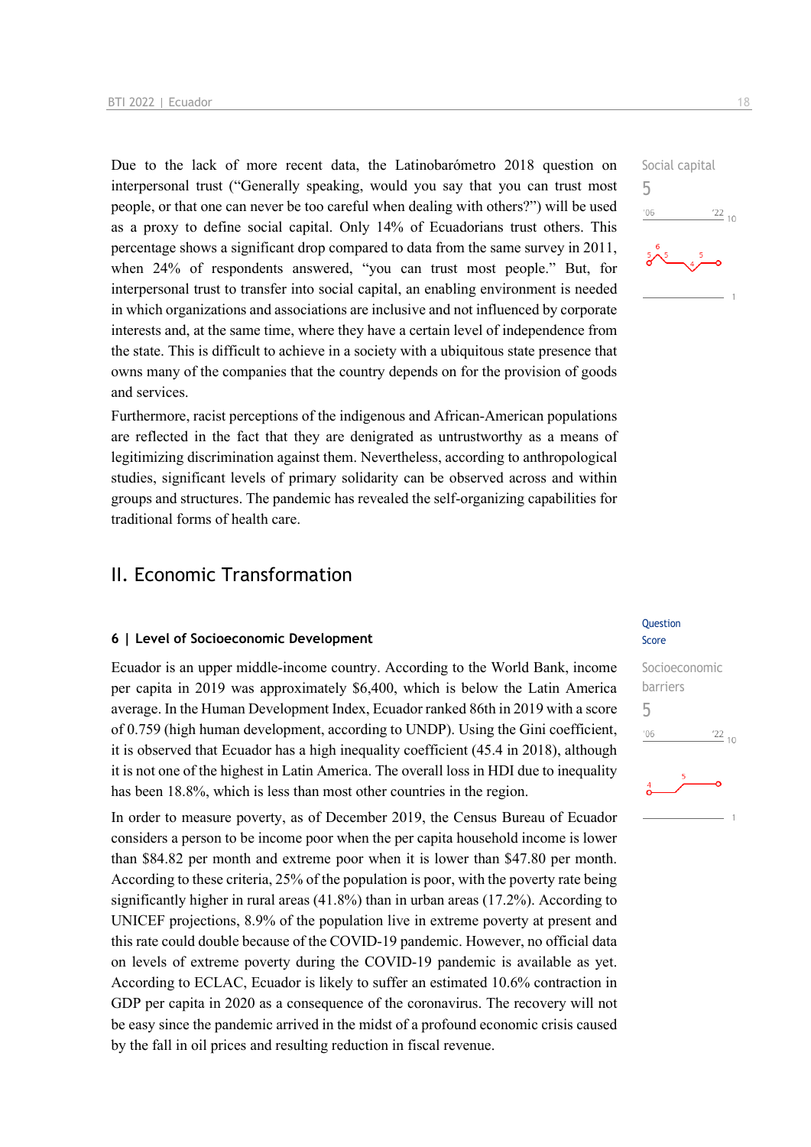Due to the lack of more recent data, the Latinobarómetro 2018 question on interpersonal trust ("Generally speaking, would you say that you can trust most people, or that one can never be too careful when dealing with others?") will be used as a proxy to define social capital. Only 14% of Ecuadorians trust others. This percentage shows a significant drop compared to data from the same survey in 2011, when 24% of respondents answered, "you can trust most people." But, for interpersonal trust to transfer into social capital, an enabling environment is needed in which organizations and associations are inclusive and not influenced by corporate interests and, at the same time, where they have a certain level of independence from the state. This is difficult to achieve in a society with a ubiquitous state presence that owns many of the companies that the country depends on for the provision of goods and services.

Furthermore, racist perceptions of the indigenous and African-American populations are reflected in the fact that they are denigrated as untrustworthy as a means of legitimizing discrimination against them. Nevertheless, according to anthropological studies, significant levels of primary solidarity can be observed across and within groups and structures. The pandemic has revealed the self-organizing capabilities for traditional forms of health care.

## II. Economic Transformation

### **6 | Level of Socioeconomic Development**

Ecuador is an upper middle-income country. According to the World Bank, income per capita in 2019 was approximately \$6,400, which is below the Latin America average. In the Human Development Index, Ecuador ranked 86th in 2019 with a score of 0.759 (high human development, according to UNDP). Using the Gini coefficient, it is observed that Ecuador has a high inequality coefficient (45.4 in 2018), although it is not one of the highest in Latin America. The overall loss in HDI due to inequality has been 18.8%, which is less than most other countries in the region.

In order to measure poverty, as of December 2019, the Census Bureau of Ecuador considers a person to be income poor when the per capita household income is lower than \$84.82 per month and extreme poor when it is lower than \$47.80 per month. According to these criteria, 25% of the population is poor, with the poverty rate being significantly higher in rural areas (41.8%) than in urban areas (17.2%). According to UNICEF projections, 8.9% of the population live in extreme poverty at present and this rate could double because of the COVID-19 pandemic. However, no official data on levels of extreme poverty during the COVID-19 pandemic is available as yet. According to ECLAC, Ecuador is likely to suffer an estimated 10.6% contraction in GDP per capita in 2020 as a consequence of the coronavirus. The recovery will not be easy since the pandemic arrived in the midst of a profound economic crisis caused by the fall in oil prices and resulting reduction in fiscal revenue.



#### **Question** Score

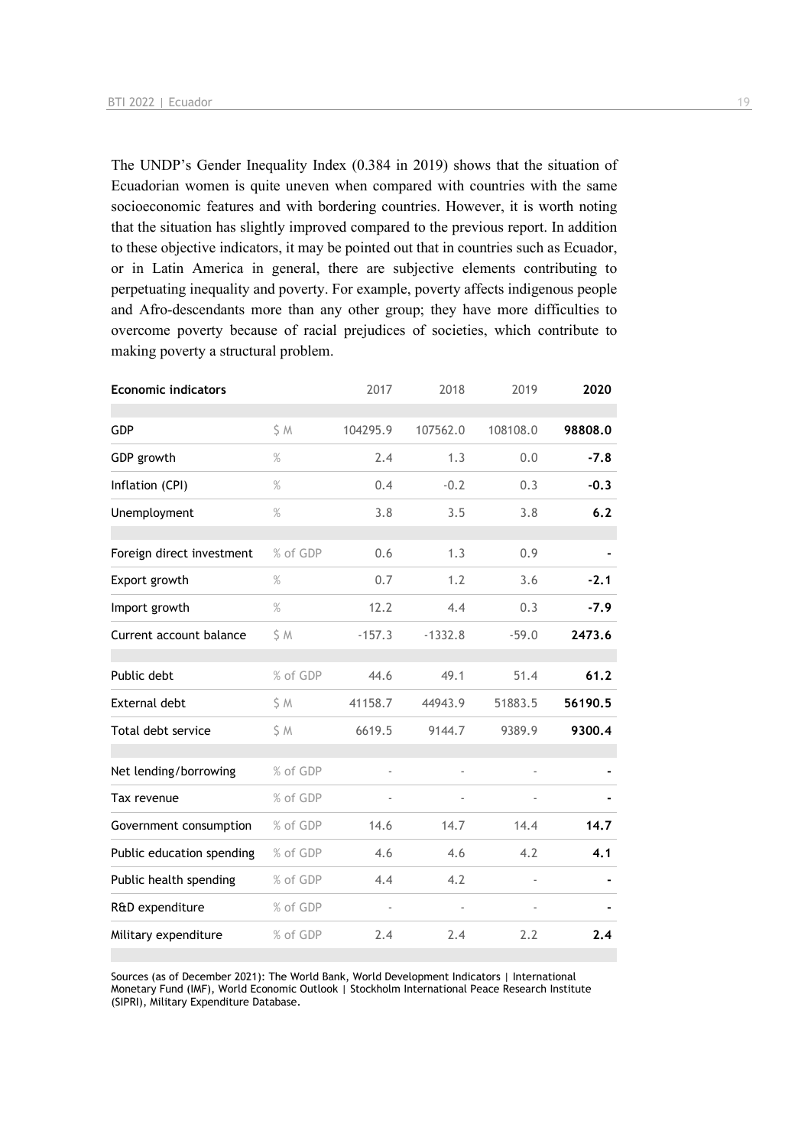The UNDP's Gender Inequality Index (0.384 in 2019) shows that the situation of Ecuadorian women is quite uneven when compared with countries with the same socioeconomic features and with bordering countries. However, it is worth noting that the situation has slightly improved compared to the previous report. In addition to these objective indicators, it may be pointed out that in countries such as Ecuador, or in Latin America in general, there are subjective elements contributing to perpetuating inequality and poverty. For example, poverty affects indigenous people and Afro-descendants more than any other group; they have more difficulties to overcome poverty because of racial prejudices of societies, which contribute to making poverty a structural problem.

| <b>Economic indicators</b> |          | 2017     | 2018      | 2019     | 2020    |
|----------------------------|----------|----------|-----------|----------|---------|
| GDP                        | S M      | 104295.9 | 107562.0  | 108108.0 | 98808.0 |
| GDP growth                 | %        | 2.4      | 1.3       | 0.0      | $-7.8$  |
| Inflation (CPI)            | $\%$     | 0.4      | $-0.2$    | 0.3      | $-0.3$  |
| Unemployment               | %        | 3.8      | 3.5       | 3.8      | 6.2     |
| Foreign direct investment  | % of GDP | 0.6      | 1.3       | 0.9      |         |
| Export growth              | $\%$     | 0.7      | 1.2       | 3.6      | $-2.1$  |
| Import growth              | $\%$     | 12.2     | 4.4       | 0.3      | $-7.9$  |
| Current account balance    | S M      | $-157.3$ | $-1332.8$ | $-59.0$  | 2473.6  |
| Public debt                | % of GDP | 44.6     | 49.1      | 51.4     | 61.2    |
| External debt              | \$ M     | 41158.7  | 44943.9   | 51883.5  | 56190.5 |
| Total debt service         | \$M      | 6619.5   | 9144.7    | 9389.9   | 9300.4  |
| Net lending/borrowing      | % of GDP |          | ä,        |          |         |
| Tax revenue                | % of GDP |          |           |          |         |
| Government consumption     | % of GDP | 14.6     | 14.7      | 14.4     | 14.7    |
| Public education spending  | % of GDP | 4.6      | 4.6       | 4.2      | 4.1     |
| Public health spending     | % of GDP | 4.4      | 4.2       |          |         |
| R&D expenditure            | % of GDP |          |           |          |         |
| Military expenditure       | % of GDP | 2.4      | 2.4       | 2.2      | 2.4     |

Sources (as of December 2021): The World Bank, World Development Indicators | International Monetary Fund (IMF), World Economic Outlook | Stockholm International Peace Research Institute (SIPRI), Military Expenditure Database.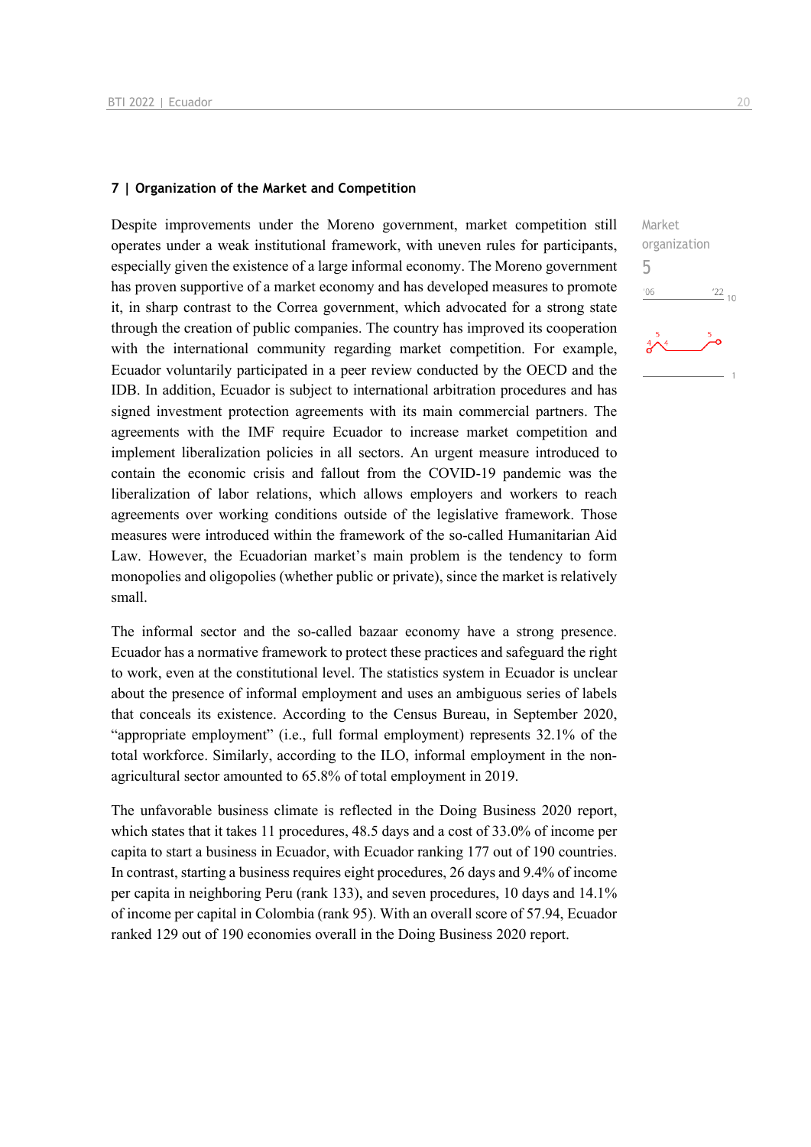### **7 | Organization of the Market and Competition**

Despite improvements under the Moreno government, market competition still operates under a weak institutional framework, with uneven rules for participants, especially given the existence of a large informal economy. The Moreno government has proven supportive of a market economy and has developed measures to promote it, in sharp contrast to the Correa government, which advocated for a strong state through the creation of public companies. The country has improved its cooperation with the international community regarding market competition. For example, Ecuador voluntarily participated in a peer review conducted by the OECD and the IDB. In addition, Ecuador is subject to international arbitration procedures and has signed investment protection agreements with its main commercial partners. The agreements with the IMF require Ecuador to increase market competition and implement liberalization policies in all sectors. An urgent measure introduced to contain the economic crisis and fallout from the COVID-19 pandemic was the liberalization of labor relations, which allows employers and workers to reach agreements over working conditions outside of the legislative framework. Those measures were introduced within the framework of the so-called Humanitarian Aid Law. However, the Ecuadorian market's main problem is the tendency to form monopolies and oligopolies (whether public or private), since the market is relatively small.

The informal sector and the so-called bazaar economy have a strong presence. Ecuador has a normative framework to protect these practices and safeguard the right to work, even at the constitutional level. The statistics system in Ecuador is unclear about the presence of informal employment and uses an ambiguous series of labels that conceals its existence. According to the Census Bureau, in September 2020, "appropriate employment" (i.e., full formal employment) represents 32.1% of the total workforce. Similarly, according to the ILO, informal employment in the nonagricultural sector amounted to 65.8% of total employment in 2019.

The unfavorable business climate is reflected in the Doing Business 2020 report, which states that it takes 11 procedures, 48.5 days and a cost of 33.0% of income per capita to start a business in Ecuador, with Ecuador ranking 177 out of 190 countries. In contrast, starting a business requires eight procedures, 26 days and 9.4% of income per capita in neighboring Peru (rank 133), and seven procedures, 10 days and 14.1% of income per capital in Colombia (rank 95). With an overall score of 57.94, Ecuador ranked 129 out of 190 economies overall in the Doing Business 2020 report.

Market organization 5 $06'$  $\frac{22}{10}$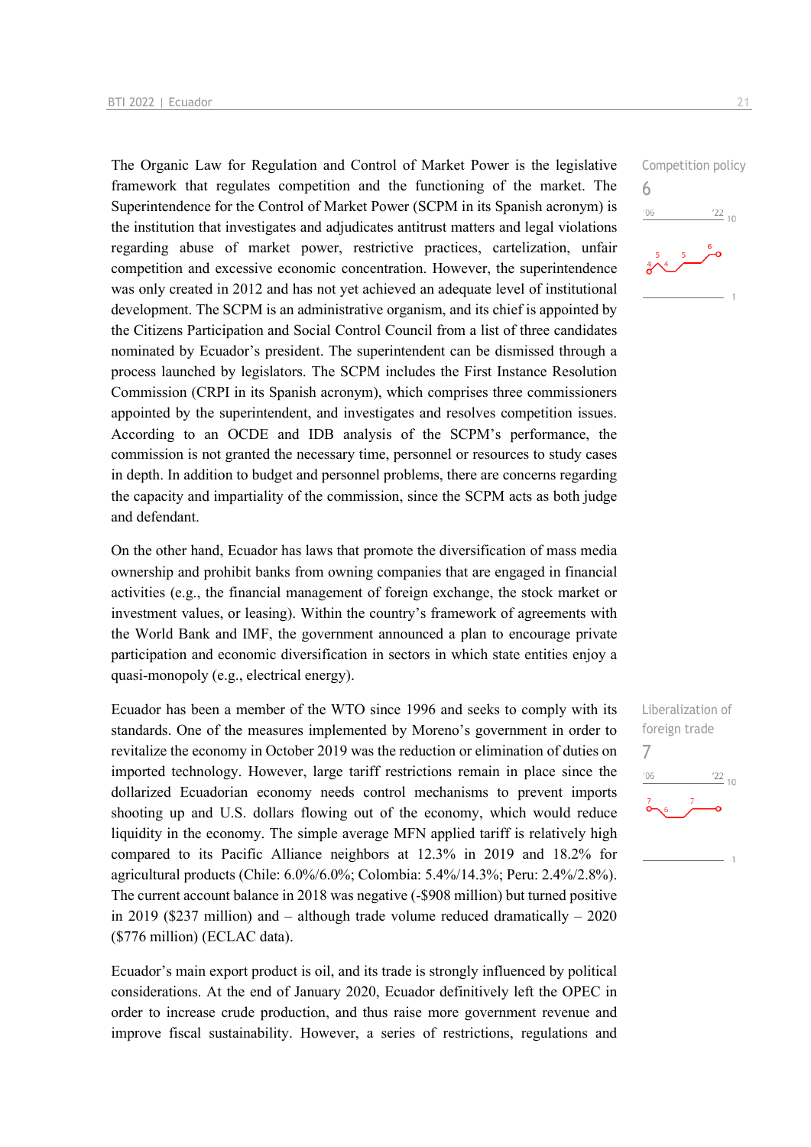The Organic Law for Regulation and Control of Market Power is the legislative framework that regulates competition and the functioning of the market. The Superintendence for the Control of Market Power (SCPM in its Spanish acronym) is the institution that investigates and adjudicates antitrust matters and legal violations regarding abuse of market power, restrictive practices, cartelization, unfair competition and excessive economic concentration. However, the superintendence was only created in 2012 and has not yet achieved an adequate level of institutional development. The SCPM is an administrative organism, and its chief is appointed by the Citizens Participation and Social Control Council from a list of three candidates nominated by Ecuador's president. The superintendent can be dismissed through a process launched by legislators. The SCPM includes the First Instance Resolution Commission (CRPI in its Spanish acronym), which comprises three commissioners appointed by the superintendent, and investigates and resolves competition issues. According to an OCDE and IDB analysis of the SCPM's performance, the commission is not granted the necessary time, personnel or resources to study cases in depth. In addition to budget and personnel problems, there are concerns regarding the capacity and impartiality of the commission, since the SCPM acts as both judge and defendant.

On the other hand, Ecuador has laws that promote the diversification of mass media ownership and prohibit banks from owning companies that are engaged in financial activities (e.g., the financial management of foreign exchange, the stock market or investment values, or leasing). Within the country's framework of agreements with the World Bank and IMF, the government announced a plan to encourage private participation and economic diversification in sectors in which state entities enjoy a quasi-monopoly (e.g., electrical energy).

Ecuador has been a member of the WTO since 1996 and seeks to comply with its standards. One of the measures implemented by Moreno's government in order to revitalize the economy in October 2019 was the reduction or elimination of duties on imported technology. However, large tariff restrictions remain in place since the dollarized Ecuadorian economy needs control mechanisms to prevent imports shooting up and U.S. dollars flowing out of the economy, which would reduce liquidity in the economy. The simple average MFN applied tariff is relatively high compared to its Pacific Alliance neighbors at 12.3% in 2019 and 18.2% for agricultural products (Chile: 6.0%/6.0%; Colombia: 5.4%/14.3%; Peru: 2.4%/2.8%). The current account balance in 2018 was negative (-\$908 million) but turned positive in 2019 (\$237 million) and – although trade volume reduced dramatically –  $2020$ (\$776 million) (ECLAC data).

Ecuador's main export product is oil, and its trade is strongly influenced by political considerations. At the end of January 2020, Ecuador definitively left the OPEC in order to increase crude production, and thus raise more government revenue and improve fiscal sustainability. However, a series of restrictions, regulations and



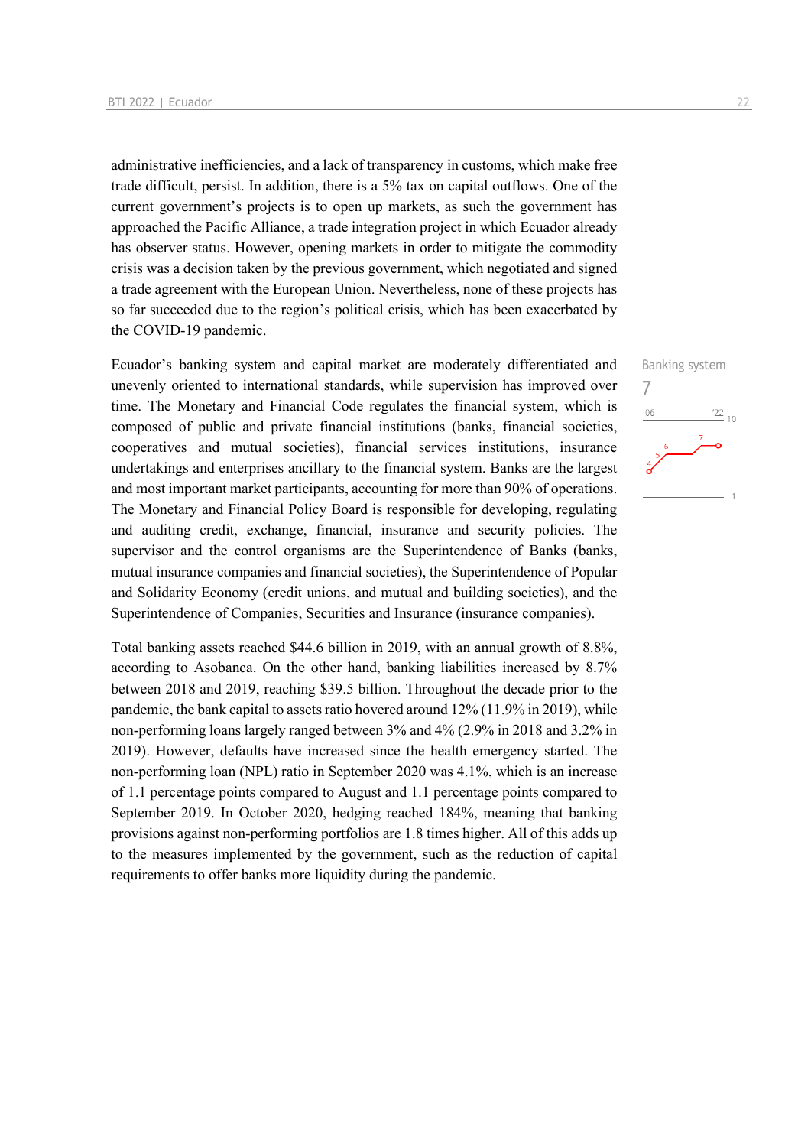administrative inefficiencies, and a lack of transparency in customs, which make free trade difficult, persist. In addition, there is a 5% tax on capital outflows. One of the current government's projects is to open up markets, as such the government has approached the Pacific Alliance, a trade integration project in which Ecuador already has observer status. However, opening markets in order to mitigate the commodity crisis was a decision taken by the previous government, which negotiated and signed a trade agreement with the European Union. Nevertheless, none of these projects has so far succeeded due to the region's political crisis, which has been exacerbated by the COVID-19 pandemic.

Ecuador's banking system and capital market are moderately differentiated and unevenly oriented to international standards, while supervision has improved over time. The Monetary and Financial Code regulates the financial system, which is composed of public and private financial institutions (banks, financial societies, cooperatives and mutual societies), financial services institutions, insurance undertakings and enterprises ancillary to the financial system. Banks are the largest and most important market participants, accounting for more than 90% of operations. The Monetary and Financial Policy Board is responsible for developing, regulating and auditing credit, exchange, financial, insurance and security policies. The supervisor and the control organisms are the Superintendence of Banks (banks, mutual insurance companies and financial societies), the Superintendence of Popular and Solidarity Economy (credit unions, and mutual and building societies), and the Superintendence of Companies, Securities and Insurance (insurance companies).

Total banking assets reached \$44.6 billion in 2019, with an annual growth of 8.8%, according to Asobanca. On the other hand, banking liabilities increased by 8.7% between 2018 and 2019, reaching \$39.5 billion. Throughout the decade prior to the pandemic, the bank capital to assets ratio hovered around 12% (11.9% in 2019), while non-performing loans largely ranged between 3% and 4% (2.9% in 2018 and 3.2% in 2019). However, defaults have increased since the health emergency started. The non-performing loan (NPL) ratio in September 2020 was 4.1%, which is an increase of 1.1 percentage points compared to August and 1.1 percentage points compared to September 2019. In October 2020, hedging reached 184%, meaning that banking provisions against non-performing portfolios are 1.8 times higher. All of this adds up to the measures implemented by the government, such as the reduction of capital requirements to offer banks more liquidity during the pandemic.

## Banking system 7 $06'$  $\frac{22}{10}$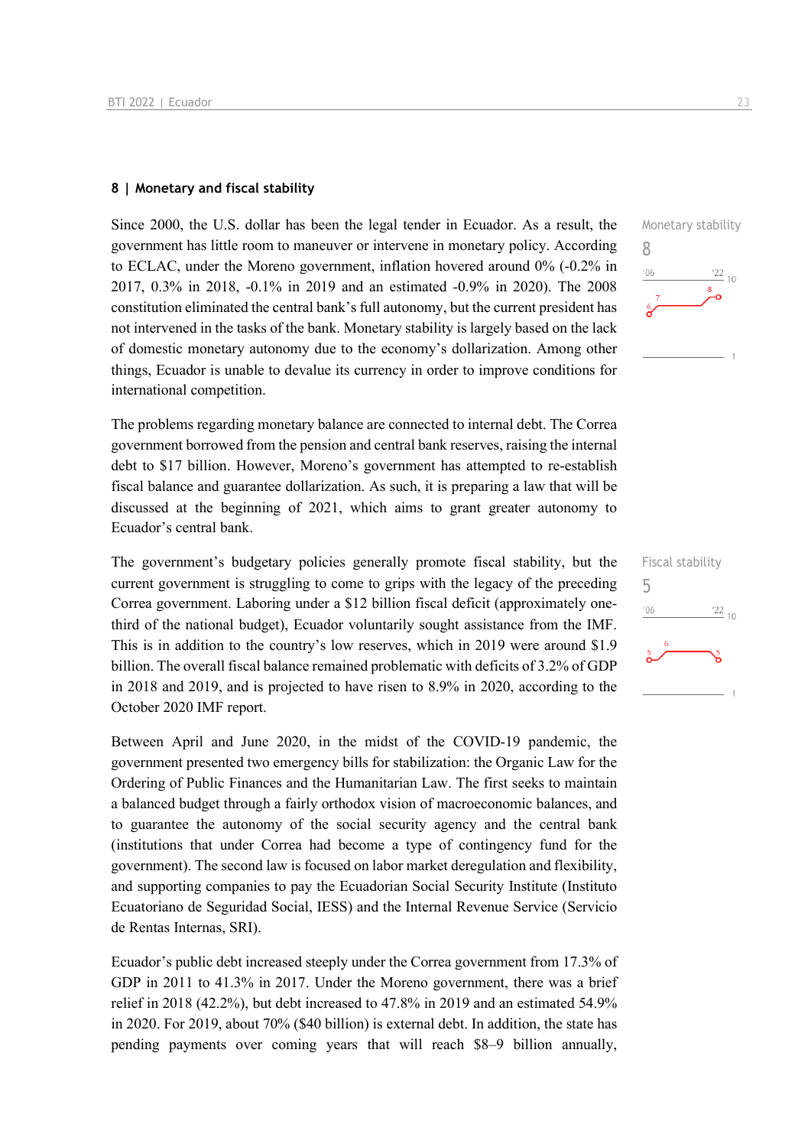### **8 | Monetary and fiscal stability**

Since 2000, the U.S. dollar has been the legal tender in Ecuador. As a result, the government has little room to maneuver or intervene in monetary policy. According to ECLAC, under the Moreno government, inflation hovered around 0% (-0.2% in 2017, 0.3% in 2018, -0.1% in 2019 and an estimated -0.9% in 2020). The 2008 constitution eliminated the central bank's full autonomy, but the current president has not intervened in the tasks of the bank. Monetary stability is largely based on the lack of domestic monetary autonomy due to the economy's dollarization. Among other things, Ecuador is unable to devalue its currency in order to improve conditions for international competition.

The problems regarding monetary balance are connected to internal debt. The Correa government borrowed from the pension and central bank reserves, raising the internal debt to \$17 billion. However, Moreno's government has attempted to re-establish fiscal balance and guarantee dollarization. As such, it is preparing a law that will be discussed at the beginning of 2021, which aims to grant greater autonomy to Ecuador's central bank.

The government's budgetary policies generally promote fiscal stability, but the current government is struggling to come to grips with the legacy of the preceding Correa government. Laboring under a \$12 billion fiscal deficit (approximately onethird of the national budget), Ecuador voluntarily sought assistance from the IMF. This is in addition to the country's low reserves, which in 2019 were around \$1.9 billion. The overall fiscal balance remained problematic with deficits of 3.2% of GDP in 2018 and 2019, and is projected to have risen to 8.9% in 2020, according to the October 2020 IMF report.

Between April and June 2020, in the midst of the COVID-19 pandemic, the government presented two emergency bills for stabilization: the Organic Law for the Ordering of Public Finances and the Humanitarian Law. The first seeks to maintain a balanced budget through a fairly orthodox vision of macroeconomic balances, and to guarantee the autonomy of the social security agency and the central bank (institutions that under Correa had become a type of contingency fund for the government). The second law is focused on labor market deregulation and flexibility, and supporting companies to pay the Ecuadorian Social Security Institute (Instituto Ecuatoriano de Seguridad Social, IESS) and the Internal Revenue Service (Servicio de Rentas Internas, SRI).

Ecuador's public debt increased steeply under the Correa government from 17.3% of GDP in 2011 to 41.3% in 2017. Under the Moreno government, there was a brief relief in 2018 (42.2%), but debt increased to 47.8% in 2019 and an estimated 54.9% in 2020. For 2019, about 70% (\$40 billion) is external debt. In addition, the state has pending payments over coming years that will reach \$8–9 billion annually,



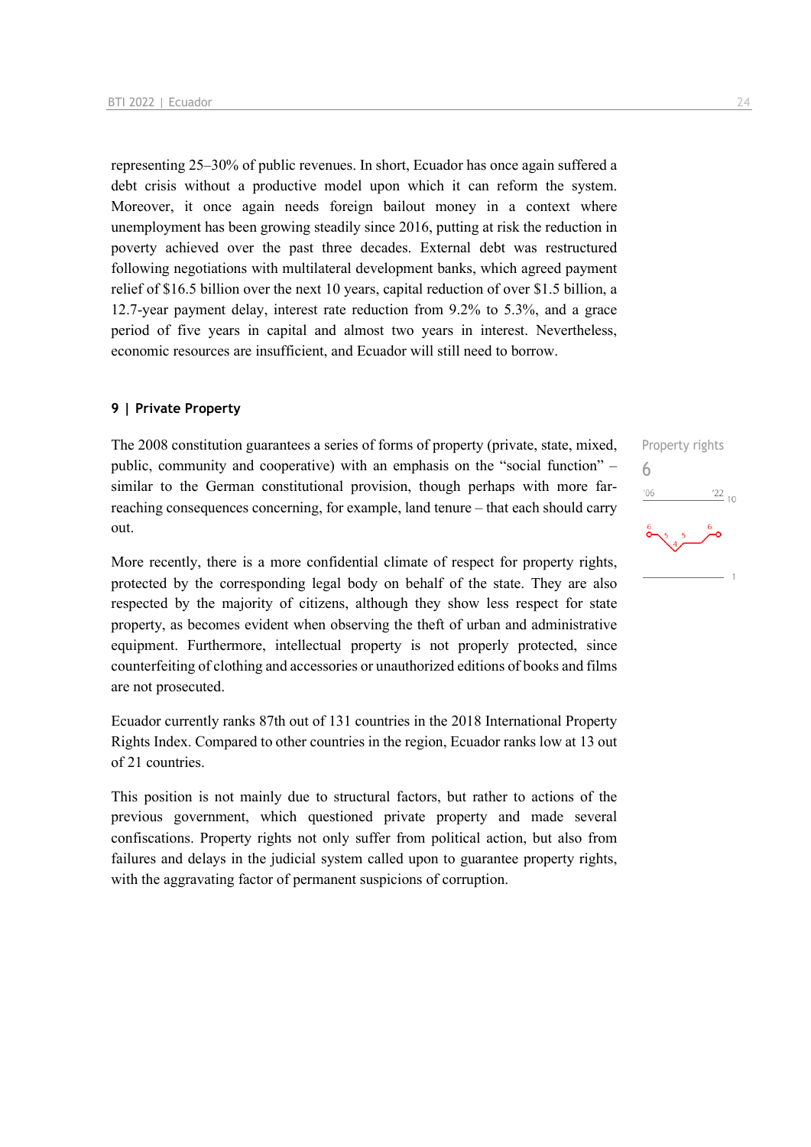representing 25–30% of public revenues. In short, Ecuador has once again suffered a debt crisis without a productive model upon which it can reform the system. Moreover, it once again needs foreign bailout money in a context where unemployment has been growing steadily since 2016, putting at risk the reduction in poverty achieved over the past three decades. External debt was restructured following negotiations with multilateral development banks, which agreed payment relief of \$16.5 billion over the next 10 years, capital reduction of over \$1.5 billion, a 12.7-year payment delay, interest rate reduction from 9.2% to 5.3%, and a grace period of five years in capital and almost two years in interest. Nevertheless, economic resources are insufficient, and Ecuador will still need to borrow.

### **9 | Private Property**

The 2008 constitution guarantees a series of forms of property (private, state, mixed, public, community and cooperative) with an emphasis on the "social function" – similar to the German constitutional provision, though perhaps with more farreaching consequences concerning, for example, land tenure – that each should carry out.

More recently, there is a more confidential climate of respect for property rights, protected by the corresponding legal body on behalf of the state. They are also respected by the majority of citizens, although they show less respect for state property, as becomes evident when observing the theft of urban and administrative equipment. Furthermore, intellectual property is not properly protected, since counterfeiting of clothing and accessories or unauthorized editions of books and films are not prosecuted.

Ecuador currently ranks 87th out of 131 countries in the 2018 International Property Rights Index. Compared to other countries in the region, Ecuador ranks low at 13 out of 21 countries.

This position is not mainly due to structural factors, but rather to actions of the previous government, which questioned private property and made several confiscations. Property rights not only suffer from political action, but also from failures and delays in the judicial system called upon to guarantee property rights, with the aggravating factor of permanent suspicions of corruption.

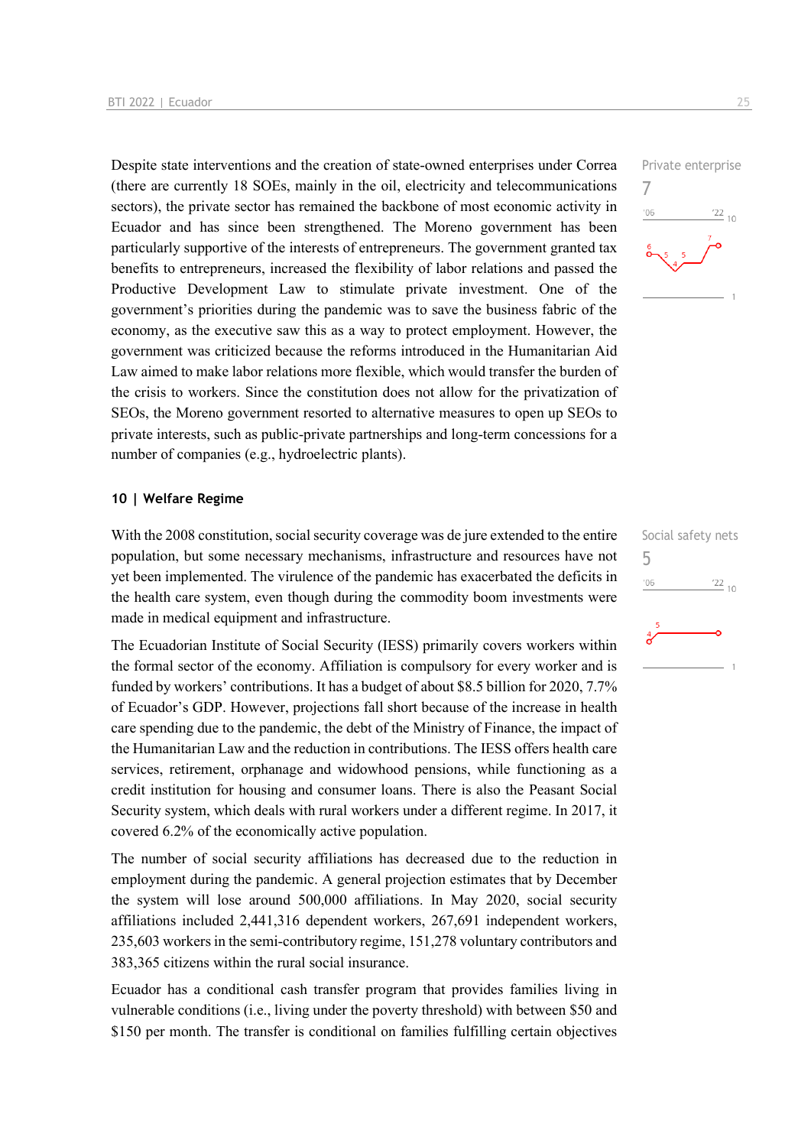Despite state interventions and the creation of state-owned enterprises under Correa (there are currently 18 SOEs, mainly in the oil, electricity and telecommunications sectors), the private sector has remained the backbone of most economic activity in Ecuador and has since been strengthened. The Moreno government has been particularly supportive of the interests of entrepreneurs. The government granted tax benefits to entrepreneurs, increased the flexibility of labor relations and passed the Productive Development Law to stimulate private investment. One of the government's priorities during the pandemic was to save the business fabric of the economy, as the executive saw this as a way to protect employment. However, the government was criticized because the reforms introduced in the Humanitarian Aid Law aimed to make labor relations more flexible, which would transfer the burden of the crisis to workers. Since the constitution does not allow for the privatization of SEOs, the Moreno government resorted to alternative measures to open up SEOs to private interests, such as public-private partnerships and long-term concessions for a number of companies (e.g., hydroelectric plants).

### **10 | Welfare Regime**

With the 2008 constitution, social security coverage was de jure extended to the entire population, but some necessary mechanisms, infrastructure and resources have not yet been implemented. The virulence of the pandemic has exacerbated the deficits in the health care system, even though during the commodity boom investments were made in medical equipment and infrastructure.

The Ecuadorian Institute of Social Security (IESS) primarily covers workers within the formal sector of the economy. Affiliation is compulsory for every worker and is funded by workers' contributions. It has a budget of about \$8.5 billion for 2020, 7.7% of Ecuador's GDP. However, projections fall short because of the increase in health care spending due to the pandemic, the debt of the Ministry of Finance, the impact of the Humanitarian Law and the reduction in contributions. The IESS offers health care services, retirement, orphanage and widowhood pensions, while functioning as a credit institution for housing and consumer loans. There is also the Peasant Social Security system, which deals with rural workers under a different regime. In 2017, it covered 6.2% of the economically active population.

The number of social security affiliations has decreased due to the reduction in employment during the pandemic. A general projection estimates that by December the system will lose around 500,000 affiliations. In May 2020, social security affiliations included 2,441,316 dependent workers, 267,691 independent workers, 235,603 workers in the semi-contributory regime, 151,278 voluntary contributors and 383,365 citizens within the rural social insurance.

Ecuador has a conditional cash transfer program that provides families living in vulnerable conditions (i.e., living under the poverty threshold) with between \$50 and \$150 per month. The transfer is conditional on families fulfilling certain objectives



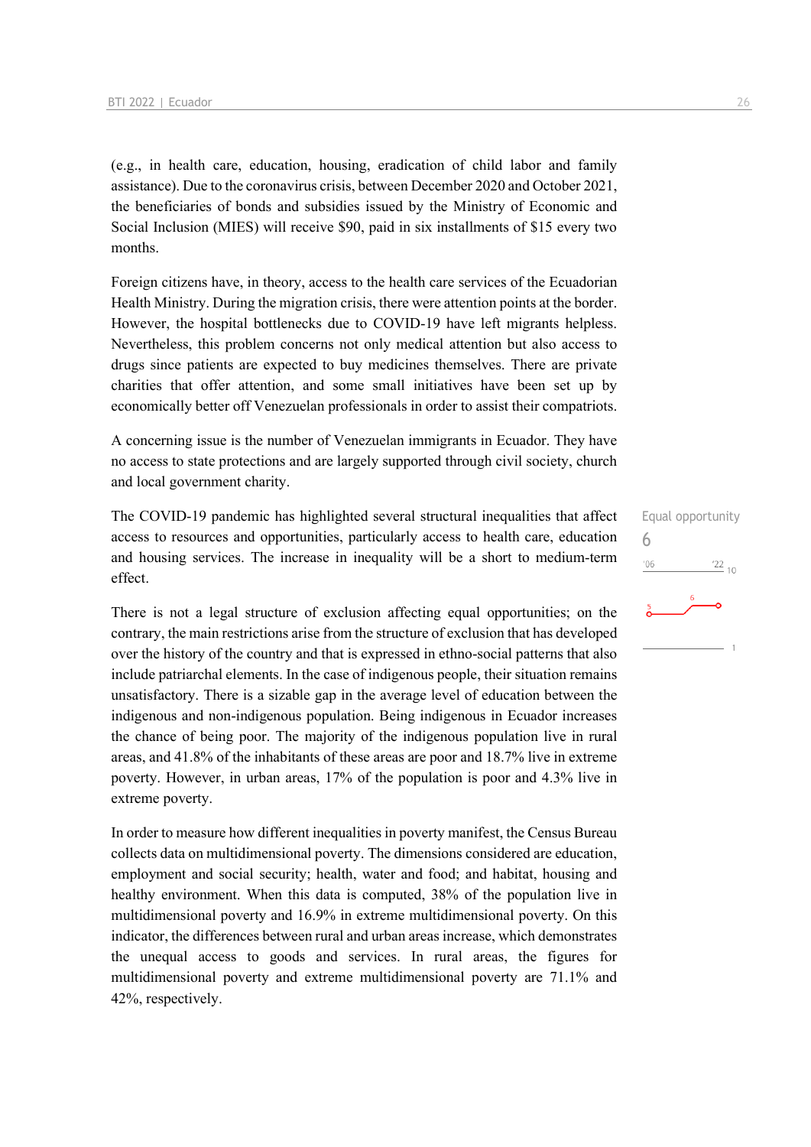(e.g., in health care, education, housing, eradication of child labor and family assistance). Due to the coronavirus crisis, between December 2020 and October 2021, the beneficiaries of bonds and subsidies issued by the Ministry of Economic and Social Inclusion (MIES) will receive \$90, paid in six installments of \$15 every two months.

Foreign citizens have, in theory, access to the health care services of the Ecuadorian Health Ministry. During the migration crisis, there were attention points at the border. However, the hospital bottlenecks due to COVID-19 have left migrants helpless. Nevertheless, this problem concerns not only medical attention but also access to drugs since patients are expected to buy medicines themselves. There are private charities that offer attention, and some small initiatives have been set up by economically better off Venezuelan professionals in order to assist their compatriots.

A concerning issue is the number of Venezuelan immigrants in Ecuador. They have no access to state protections and are largely supported through civil society, church and local government charity.

The COVID-19 pandemic has highlighted several structural inequalities that affect access to resources and opportunities, particularly access to health care, education and housing services. The increase in inequality will be a short to medium-term effect.

There is not a legal structure of exclusion affecting equal opportunities; on the contrary, the main restrictions arise from the structure of exclusion that has developed over the history of the country and that is expressed in ethno-social patterns that also include patriarchal elements. In the case of indigenous people, their situation remains unsatisfactory. There is a sizable gap in the average level of education between the indigenous and non-indigenous population. Being indigenous in Ecuador increases the chance of being poor. The majority of the indigenous population live in rural areas, and 41.8% of the inhabitants of these areas are poor and 18.7% live in extreme poverty. However, in urban areas, 17% of the population is poor and 4.3% live in extreme poverty.

In order to measure how different inequalities in poverty manifest, the Census Bureau collects data on multidimensional poverty. The dimensions considered are education, employment and social security; health, water and food; and habitat, housing and healthy environment. When this data is computed, 38% of the population live in multidimensional poverty and 16.9% in extreme multidimensional poverty. On this indicator, the differences between rural and urban areas increase, which demonstrates the unequal access to goods and services. In rural areas, the figures for multidimensional poverty and extreme multidimensional poverty are 71.1% and 42%, respectively.

## Equal opportunity 6 $'06$  $\frac{22}{10}$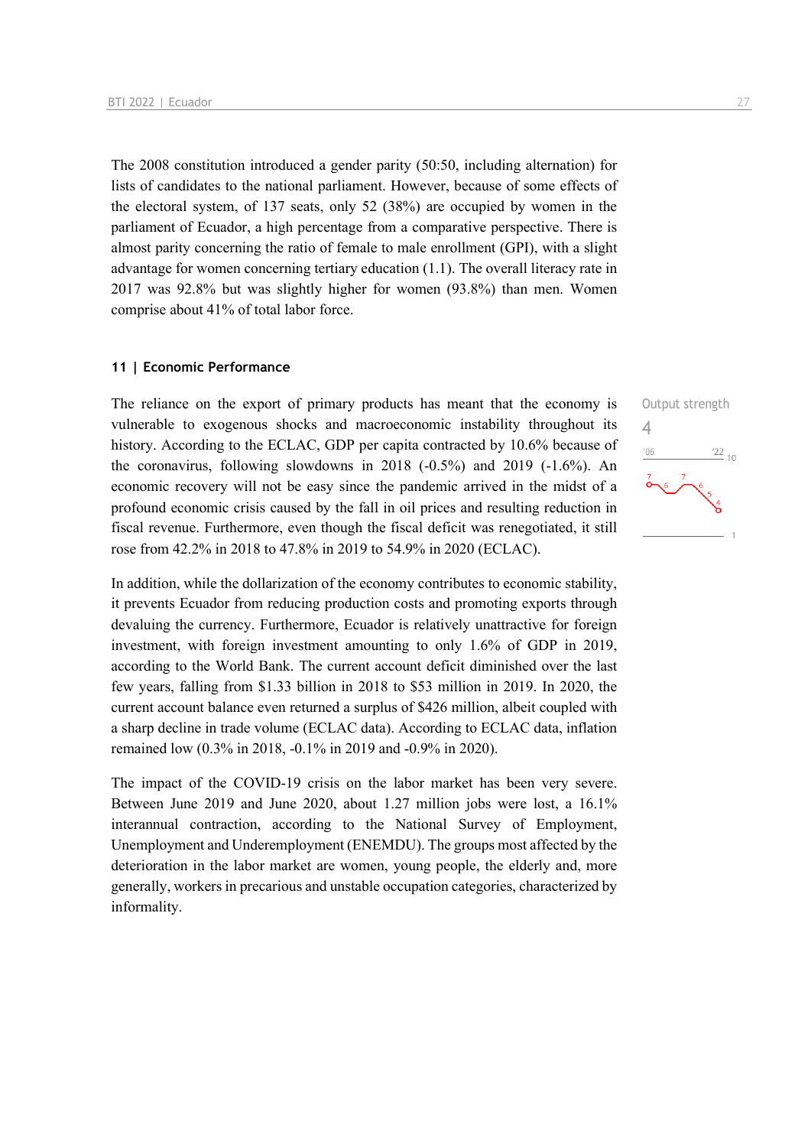The 2008 constitution introduced a gender parity (50:50, including alternation) for lists of candidates to the national parliament. However, because of some effects of the electoral system, of 137 seats, only 52 (38%) are occupied by women in the parliament of Ecuador, a high percentage from a comparative perspective. There is almost parity concerning the ratio of female to male enrollment (GPI), with a slight advantage for women concerning tertiary education (1.1). The overall literacy rate in 2017 was 92.8% but was slightly higher for women (93.8%) than men. Women comprise about 41% of total labor force.

### **11 | Economic Performance**

The reliance on the export of primary products has meant that the economy is vulnerable to exogenous shocks and macroeconomic instability throughout its history. According to the ECLAC, GDP per capita contracted by 10.6% because of the coronavirus, following slowdowns in 2018 (-0.5%) and 2019 (-1.6%). An economic recovery will not be easy since the pandemic arrived in the midst of a profound economic crisis caused by the fall in oil prices and resulting reduction in fiscal revenue. Furthermore, even though the fiscal deficit was renegotiated, it still rose from 42.2% in 2018 to 47.8% in 2019 to 54.9% in 2020 (ECLAC).

In addition, while the dollarization of the economy contributes to economic stability, it prevents Ecuador from reducing production costs and promoting exports through devaluing the currency. Furthermore, Ecuador is relatively unattractive for foreign investment, with foreign investment amounting to only 1.6% of GDP in 2019, according to the World Bank. The current account deficit diminished over the last few years, falling from \$1.33 billion in 2018 to \$53 million in 2019. In 2020, the current account balance even returned a surplus of \$426 million, albeit coupled with a sharp decline in trade volume (ECLAC data). According to ECLAC data, inflation remained low (0.3% in 2018, -0.1% in 2019 and -0.9% in 2020).

The impact of the COVID-19 crisis on the labor market has been very severe. Between June 2019 and June 2020, about 1.27 million jobs were lost, a 16.1% interannual contraction, according to the National Survey of Employment, Unemployment and Underemployment (ENEMDU). The groups most affected by the deterioration in the labor market are women, young people, the elderly and, more generally, workers in precarious and unstable occupation categories, characterized by informality.

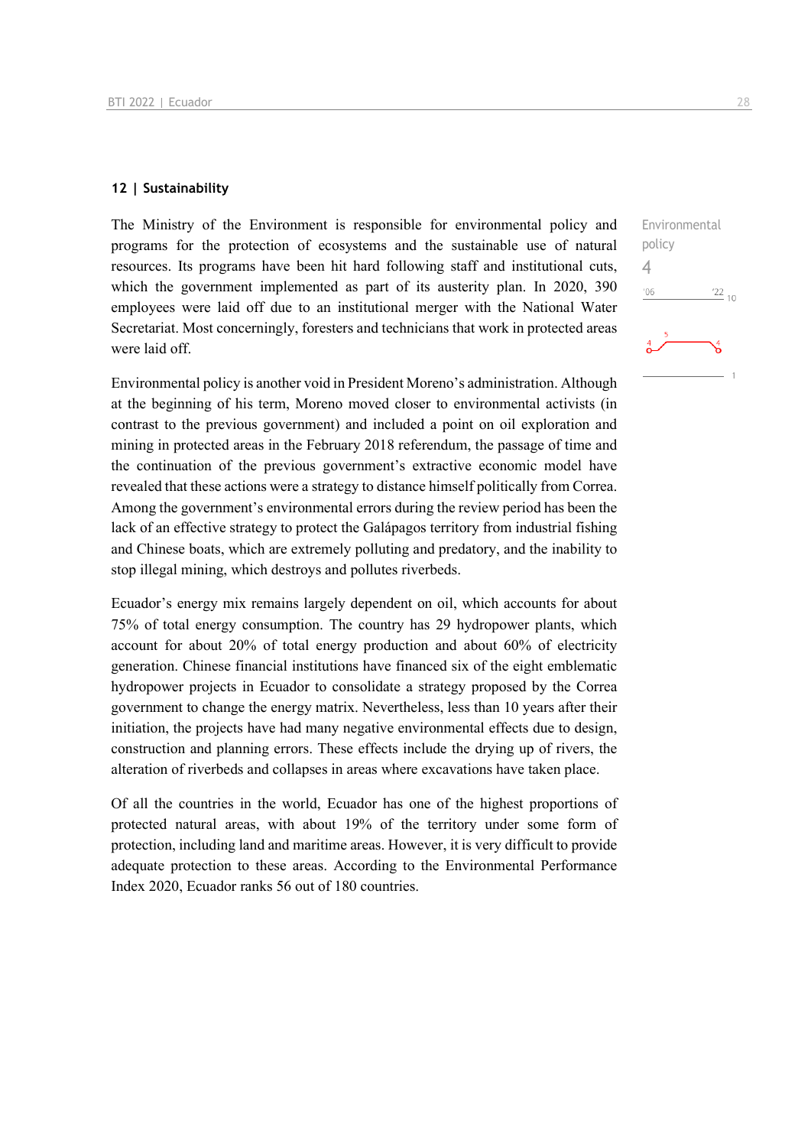### **12 | Sustainability**

The Ministry of the Environment is responsible for environmental policy and programs for the protection of ecosystems and the sustainable use of natural resources. Its programs have been hit hard following staff and institutional cuts, which the government implemented as part of its austerity plan. In 2020, 390 employees were laid off due to an institutional merger with the National Water Secretariat. Most concerningly, foresters and technicians that work in protected areas were laid off.

Environmental policy is another void in President Moreno's administration. Although at the beginning of his term, Moreno moved closer to environmental activists (in contrast to the previous government) and included a point on oil exploration and mining in protected areas in the February 2018 referendum, the passage of time and the continuation of the previous government's extractive economic model have revealed that these actions were a strategy to distance himself politically from Correa. Among the government's environmental errors during the review period has been the lack of an effective strategy to protect the Galápagos territory from industrial fishing and Chinese boats, which are extremely polluting and predatory, and the inability to stop illegal mining, which destroys and pollutes riverbeds.

Ecuador's energy mix remains largely dependent on oil, which accounts for about 75% of total energy consumption. The country has 29 hydropower plants, which account for about 20% of total energy production and about 60% of electricity generation. Chinese financial institutions have financed six of the eight emblematic hydropower projects in Ecuador to consolidate a strategy proposed by the Correa government to change the energy matrix. Nevertheless, less than 10 years after their initiation, the projects have had many negative environmental effects due to design, construction and planning errors. These effects include the drying up of rivers, the alteration of riverbeds and collapses in areas where excavations have taken place.

Of all the countries in the world, Ecuador has one of the highest proportions of protected natural areas, with about 19% of the territory under some form of protection, including land and maritime areas. However, it is very difficult to provide adequate protection to these areas. According to the Environmental Performance Index 2020, Ecuador ranks 56 out of 180 countries.

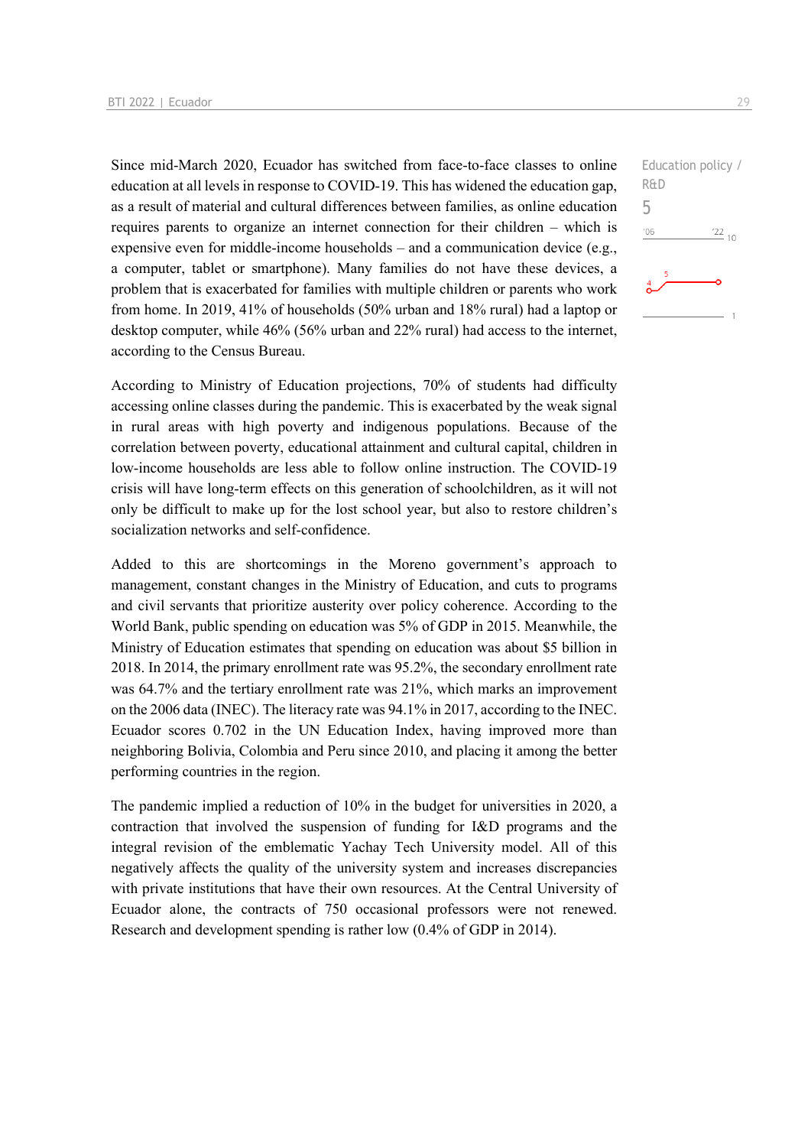Since mid-March 2020, Ecuador has switched from face-to-face classes to online education at all levels in response to COVID-19. This has widened the education gap, as a result of material and cultural differences between families, as online education requires parents to organize an internet connection for their children – which is expensive even for middle-income households – and a communication device (e.g., a computer, tablet or smartphone). Many families do not have these devices, a problem that is exacerbated for families with multiple children or parents who work from home. In 2019, 41% of households (50% urban and 18% rural) had a laptop or desktop computer, while 46% (56% urban and 22% rural) had access to the internet, according to the Census Bureau.

According to Ministry of Education projections, 70% of students had difficulty accessing online classes during the pandemic. This is exacerbated by the weak signal in rural areas with high poverty and indigenous populations. Because of the correlation between poverty, educational attainment and cultural capital, children in low-income households are less able to follow online instruction. The COVID-19 crisis will have long-term effects on this generation of schoolchildren, as it will not only be difficult to make up for the lost school year, but also to restore children's socialization networks and self-confidence.

Added to this are shortcomings in the Moreno government's approach to management, constant changes in the Ministry of Education, and cuts to programs and civil servants that prioritize austerity over policy coherence. According to the World Bank, public spending on education was 5% of GDP in 2015. Meanwhile, the Ministry of Education estimates that spending on education was about \$5 billion in 2018. In 2014, the primary enrollment rate was 95.2%, the secondary enrollment rate was 64.7% and the tertiary enrollment rate was 21%, which marks an improvement on the 2006 data (INEC). The literacy rate was 94.1% in 2017, according to the INEC. Ecuador scores 0.702 in the UN Education Index, having improved more than neighboring Bolivia, Colombia and Peru since 2010, and placing it among the better performing countries in the region.

The pandemic implied a reduction of 10% in the budget for universities in 2020, a contraction that involved the suspension of funding for I&D programs and the integral revision of the emblematic Yachay Tech University model. All of this negatively affects the quality of the university system and increases discrepancies with private institutions that have their own resources. At the Central University of Ecuador alone, the contracts of 750 occasional professors were not renewed. Research and development spending is rather low (0.4% of GDP in 2014).

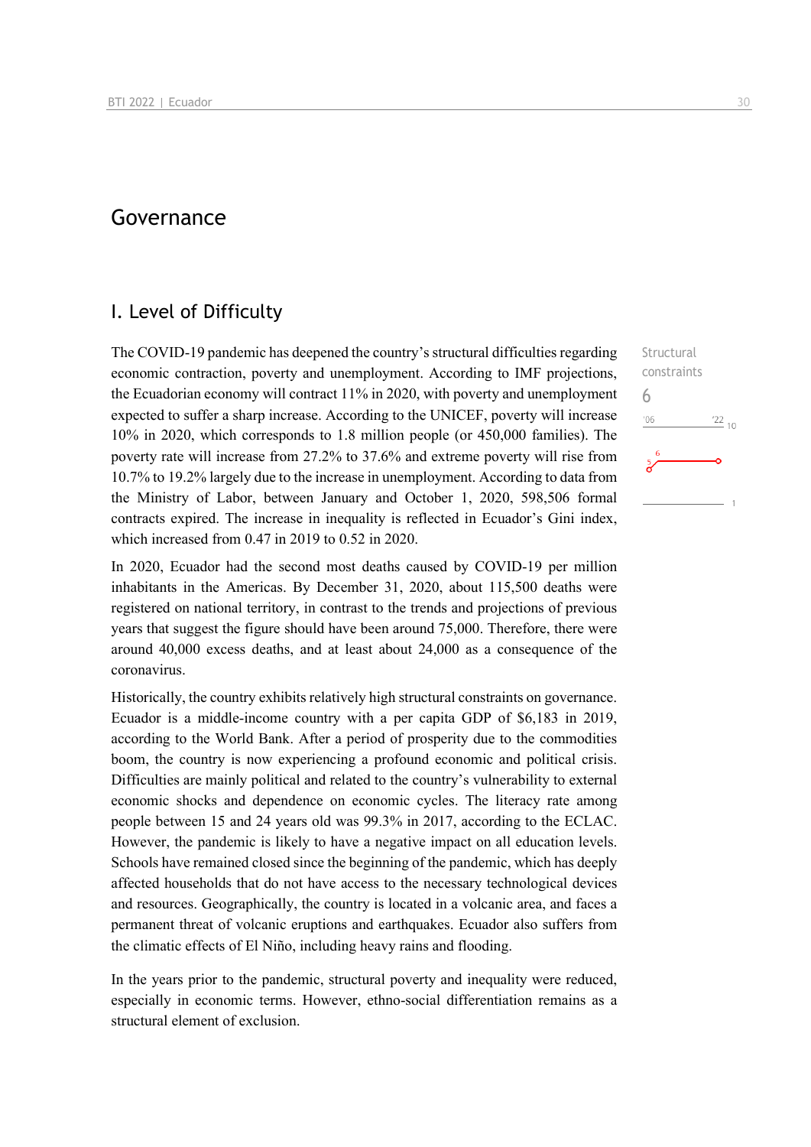## Governance

### I. Level of Difficulty

The COVID-19 pandemic has deepened the country's structural difficulties regarding economic contraction, poverty and unemployment. According to IMF projections, the Ecuadorian economy will contract 11% in 2020, with poverty and unemployment expected to suffer a sharp increase. According to the UNICEF, poverty will increase 10% in 2020, which corresponds to 1.8 million people (or 450,000 families). The poverty rate will increase from 27.2% to 37.6% and extreme poverty will rise from 10.7% to 19.2% largely due to the increase in unemployment. According to data from the Ministry of Labor, between January and October 1, 2020, 598,506 formal contracts expired. The increase in inequality is reflected in Ecuador's Gini index, which increased from 0.47 in 2019 to 0.52 in 2020.

In 2020, Ecuador had the second most deaths caused by COVID-19 per million inhabitants in the Americas. By December 31, 2020, about 115,500 deaths were registered on national territory, in contrast to the trends and projections of previous years that suggest the figure should have been around 75,000. Therefore, there were around 40,000 excess deaths, and at least about 24,000 as a consequence of the coronavirus.

Historically, the country exhibits relatively high structural constraints on governance. Ecuador is a middle-income country with a per capita GDP of \$6,183 in 2019, according to the World Bank. After a period of prosperity due to the commodities boom, the country is now experiencing a profound economic and political crisis. Difficulties are mainly political and related to the country's vulnerability to external economic shocks and dependence on economic cycles. The literacy rate among people between 15 and 24 years old was 99.3% in 2017, according to the ECLAC. However, the pandemic is likely to have a negative impact on all education levels. Schools have remained closed since the beginning of the pandemic, which has deeply affected households that do not have access to the necessary technological devices and resources. Geographically, the country is located in a volcanic area, and faces a permanent threat of volcanic eruptions and earthquakes. Ecuador also suffers from the climatic effects of El Niño, including heavy rains and flooding.

In the years prior to the pandemic, structural poverty and inequality were reduced, especially in economic terms. However, ethno-social differentiation remains as a structural element of exclusion.

6

 $106$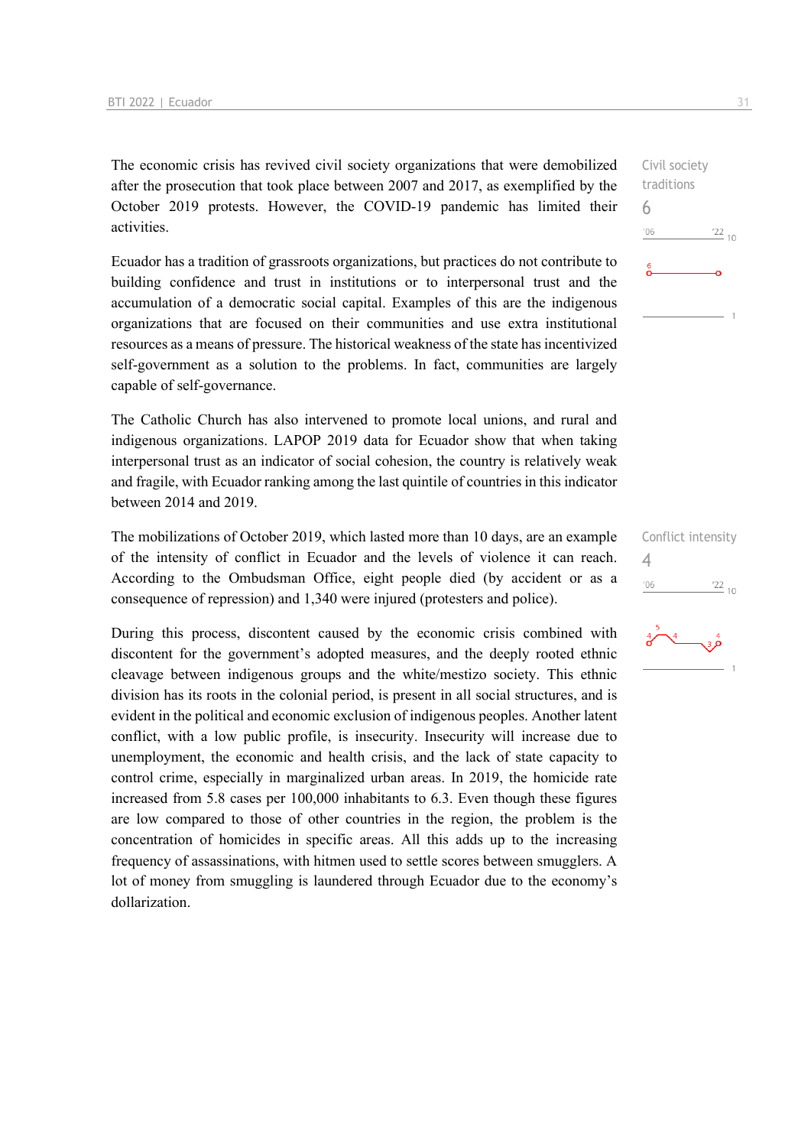The economic crisis has revived civil society organizations that were demobilized after the prosecution that took place between 2007 and 2017, as exemplified by the October 2019 protests. However, the COVID-19 pandemic has limited their activities.

Ecuador has a tradition of grassroots organizations, but practices do not contribute to building confidence and trust in institutions or to interpersonal trust and the accumulation of a democratic social capital. Examples of this are the indigenous organizations that are focused on their communities and use extra institutional resources as a means of pressure. The historical weakness of the state has incentivized self-government as a solution to the problems. In fact, communities are largely capable of self-governance.

The Catholic Church has also intervened to promote local unions, and rural and indigenous organizations. LAPOP 2019 data for Ecuador show that when taking interpersonal trust as an indicator of social cohesion, the country is relatively weak and fragile, with Ecuador ranking among the last quintile of countries in this indicator between 2014 and 2019.

The mobilizations of October 2019, which lasted more than 10 days, are an example of the intensity of conflict in Ecuador and the levels of violence it can reach. According to the Ombudsman Office, eight people died (by accident or as a consequence of repression) and 1,340 were injured (protesters and police).

During this process, discontent caused by the economic crisis combined with discontent for the government's adopted measures, and the deeply rooted ethnic cleavage between indigenous groups and the white/mestizo society. This ethnic division has its roots in the colonial period, is present in all social structures, and is evident in the political and economic exclusion of indigenous peoples. Another latent conflict, with a low public profile, is insecurity. Insecurity will increase due to unemployment, the economic and health crisis, and the lack of state capacity to control crime, especially in marginalized urban areas. In 2019, the homicide rate increased from 5.8 cases per 100,000 inhabitants to 6.3. Even though these figures are low compared to those of other countries in the region, the problem is the concentration of homicides in specific areas. All this adds up to the increasing frequency of assassinations, with hitmen used to settle scores between smugglers. A lot of money from smuggling is laundered through Ecuador due to the economy's dollarization.

Civil society traditions 6  $-06$  $\frac{22}{10}$ 

Conflict intensity 4 $\frac{22}{10}$  $'06$ 

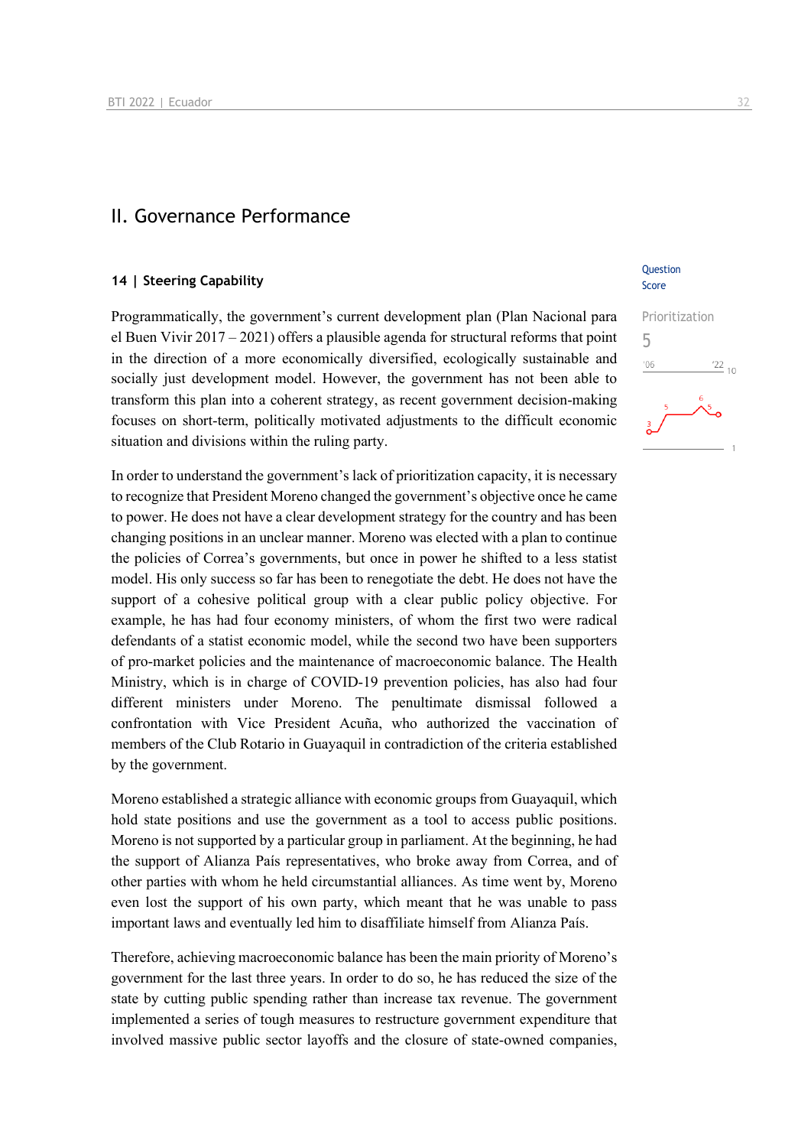### II. Governance Performance

### **14 | Steering Capability**

Programmatically, the government's current development plan (Plan Nacional para el Buen Vivir 2017 – 2021) offers a plausible agenda for structural reforms that point in the direction of a more economically diversified, ecologically sustainable and socially just development model. However, the government has not been able to transform this plan into a coherent strategy, as recent government decision-making focuses on short-term, politically motivated adjustments to the difficult economic situation and divisions within the ruling party.

In order to understand the government's lack of prioritization capacity, it is necessary to recognize that President Moreno changed the government's objective once he came to power. He does not have a clear development strategy for the country and has been changing positions in an unclear manner. Moreno was elected with a plan to continue the policies of Correa's governments, but once in power he shifted to a less statist model. His only success so far has been to renegotiate the debt. He does not have the support of a cohesive political group with a clear public policy objective. For example, he has had four economy ministers, of whom the first two were radical defendants of a statist economic model, while the second two have been supporters of pro-market policies and the maintenance of macroeconomic balance. The Health Ministry, which is in charge of COVID-19 prevention policies, has also had four different ministers under Moreno. The penultimate dismissal followed a confrontation with Vice President Acuña, who authorized the vaccination of members of the Club Rotario in Guayaquil in contradiction of the criteria established by the government.

Moreno established a strategic alliance with economic groups from Guayaquil, which hold state positions and use the government as a tool to access public positions. Moreno is not supported by a particular group in parliament. At the beginning, he had the support of Alianza País representatives, who broke away from Correa, and of other parties with whom he held circumstantial alliances. As time went by, Moreno even lost the support of his own party, which meant that he was unable to pass important laws and eventually led him to disaffiliate himself from Alianza País.

Therefore, achieving macroeconomic balance has been the main priority of Moreno's government for the last three years. In order to do so, he has reduced the size of the state by cutting public spending rather than increase tax revenue. The government implemented a series of tough measures to restructure government expenditure that involved massive public sector layoffs and the closure of state-owned companies,

### **Ouestion** Score

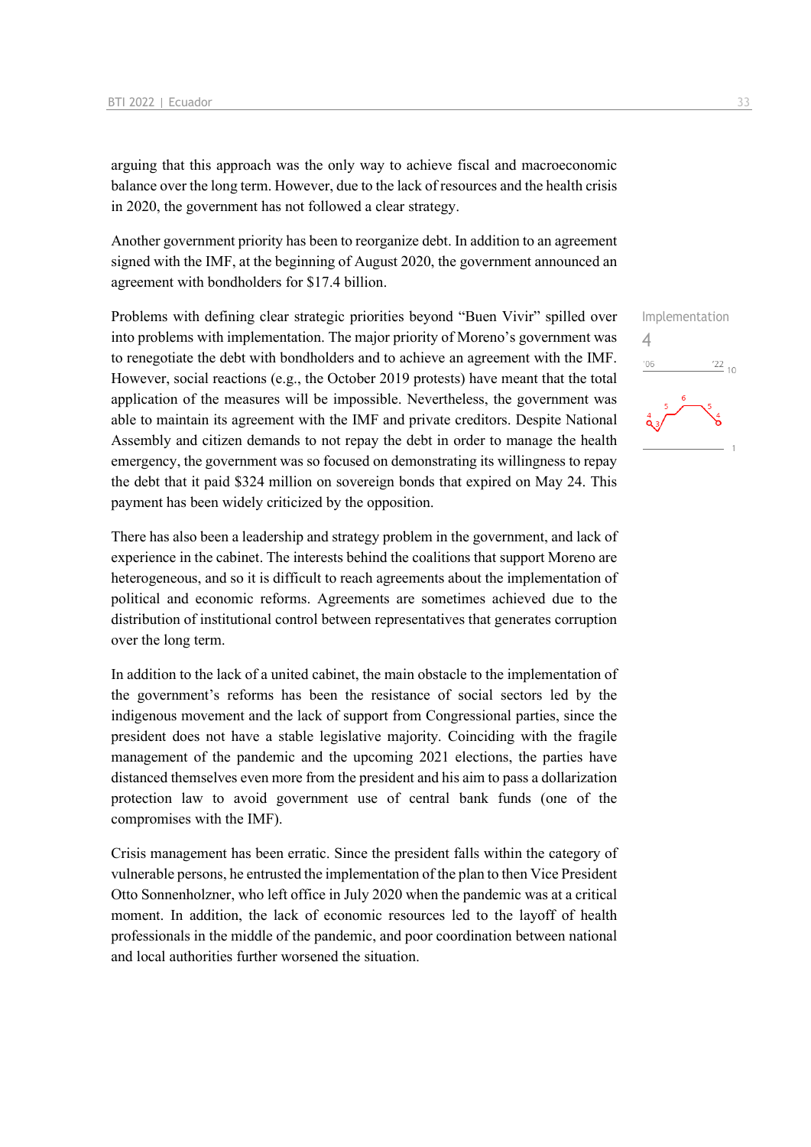arguing that this approach was the only way to achieve fiscal and macroeconomic balance over the long term. However, due to the lack of resources and the health crisis in 2020, the government has not followed a clear strategy.

Another government priority has been to reorganize debt. In addition to an agreement signed with the IMF, at the beginning of August 2020, the government announced an agreement with bondholders for \$17.4 billion.

Problems with defining clear strategic priorities beyond "Buen Vivir" spilled over into problems with implementation. The major priority of Moreno's government was to renegotiate the debt with bondholders and to achieve an agreement with the IMF. However, social reactions (e.g., the October 2019 protests) have meant that the total application of the measures will be impossible. Nevertheless, the government was able to maintain its agreement with the IMF and private creditors. Despite National Assembly and citizen demands to not repay the debt in order to manage the health emergency, the government was so focused on demonstrating its willingness to repay the debt that it paid \$324 million on sovereign bonds that expired on May 24. This payment has been widely criticized by the opposition.

There has also been a leadership and strategy problem in the government, and lack of experience in the cabinet. The interests behind the coalitions that support Moreno are heterogeneous, and so it is difficult to reach agreements about the implementation of political and economic reforms. Agreements are sometimes achieved due to the distribution of institutional control between representatives that generates corruption over the long term.

In addition to the lack of a united cabinet, the main obstacle to the implementation of the government's reforms has been the resistance of social sectors led by the indigenous movement and the lack of support from Congressional parties, since the president does not have a stable legislative majority. Coinciding with the fragile management of the pandemic and the upcoming 2021 elections, the parties have distanced themselves even more from the president and his aim to pass a dollarization protection law to avoid government use of central bank funds (one of the compromises with the IMF).

Crisis management has been erratic. Since the president falls within the category of vulnerable persons, he entrusted the implementation of the plan to then Vice President Otto Sonnenholzner, who left office in July 2020 when the pandemic was at a critical moment. In addition, the lack of economic resources led to the layoff of health professionals in the middle of the pandemic, and poor coordination between national and local authorities further worsened the situation.

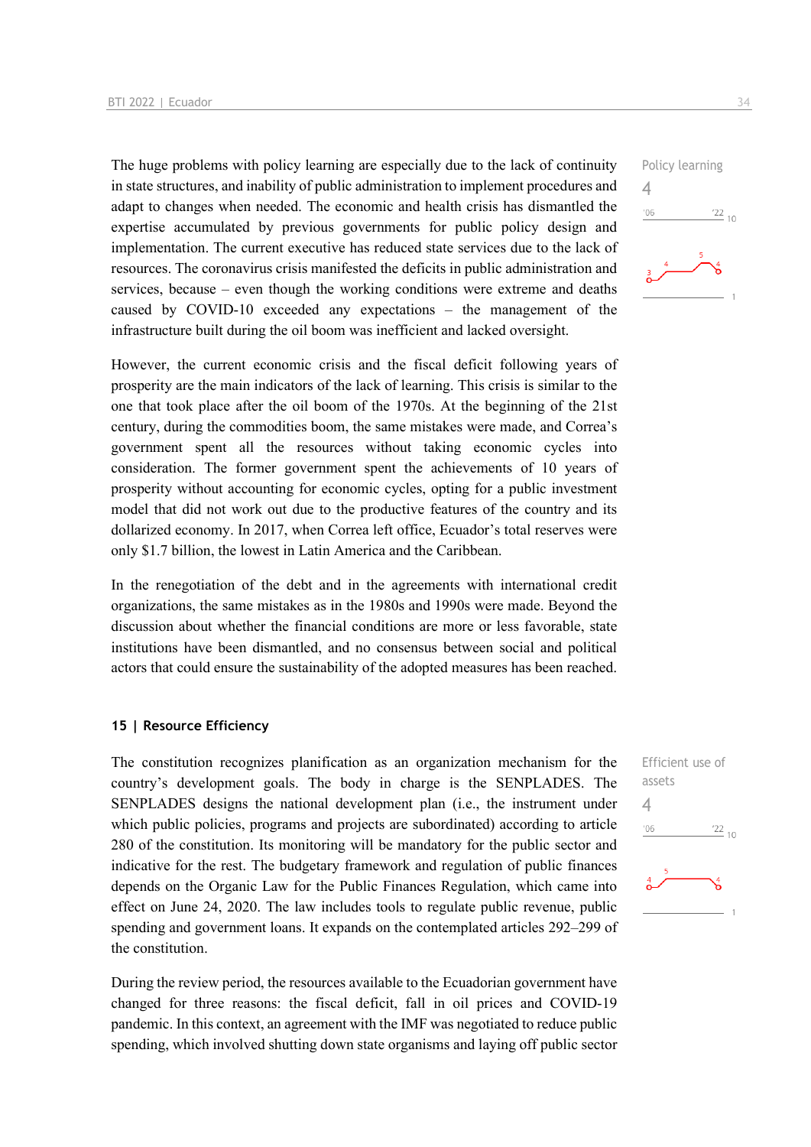The huge problems with policy learning are especially due to the lack of continuity in state structures, and inability of public administration to implement procedures and adapt to changes when needed. The economic and health crisis has dismantled the expertise accumulated by previous governments for public policy design and implementation. The current executive has reduced state services due to the lack of resources. The coronavirus crisis manifested the deficits in public administration and services, because – even though the working conditions were extreme and deaths caused by COVID-10 exceeded any expectations – the management of the infrastructure built during the oil boom was inefficient and lacked oversight.

However, the current economic crisis and the fiscal deficit following years of prosperity are the main indicators of the lack of learning. This crisis is similar to the one that took place after the oil boom of the 1970s. At the beginning of the 21st century, during the commodities boom, the same mistakes were made, and Correa's government spent all the resources without taking economic cycles into consideration. The former government spent the achievements of 10 years of prosperity without accounting for economic cycles, opting for a public investment model that did not work out due to the productive features of the country and its dollarized economy. In 2017, when Correa left office, Ecuador's total reserves were only \$1.7 billion, the lowest in Latin America and the Caribbean.

In the renegotiation of the debt and in the agreements with international credit organizations, the same mistakes as in the 1980s and 1990s were made. Beyond the discussion about whether the financial conditions are more or less favorable, state institutions have been dismantled, and no consensus between social and political actors that could ensure the sustainability of the adopted measures has been reached.

### **15 | Resource Efficiency**

The constitution recognizes planification as an organization mechanism for the country's development goals. The body in charge is the SENPLADES. The SENPLADES designs the national development plan (i.e., the instrument under which public policies, programs and projects are subordinated) according to article 280 of the constitution. Its monitoring will be mandatory for the public sector and indicative for the rest. The budgetary framework and regulation of public finances depends on the Organic Law for the Public Finances Regulation, which came into effect on June 24, 2020. The law includes tools to regulate public revenue, public spending and government loans. It expands on the contemplated articles 292–299 of the constitution.

During the review period, the resources available to the Ecuadorian government have changed for three reasons: the fiscal deficit, fall in oil prices and COVID-19 pandemic. In this context, an agreement with the IMF was negotiated to reduce public spending, which involved shutting down state organisms and laying off public sector



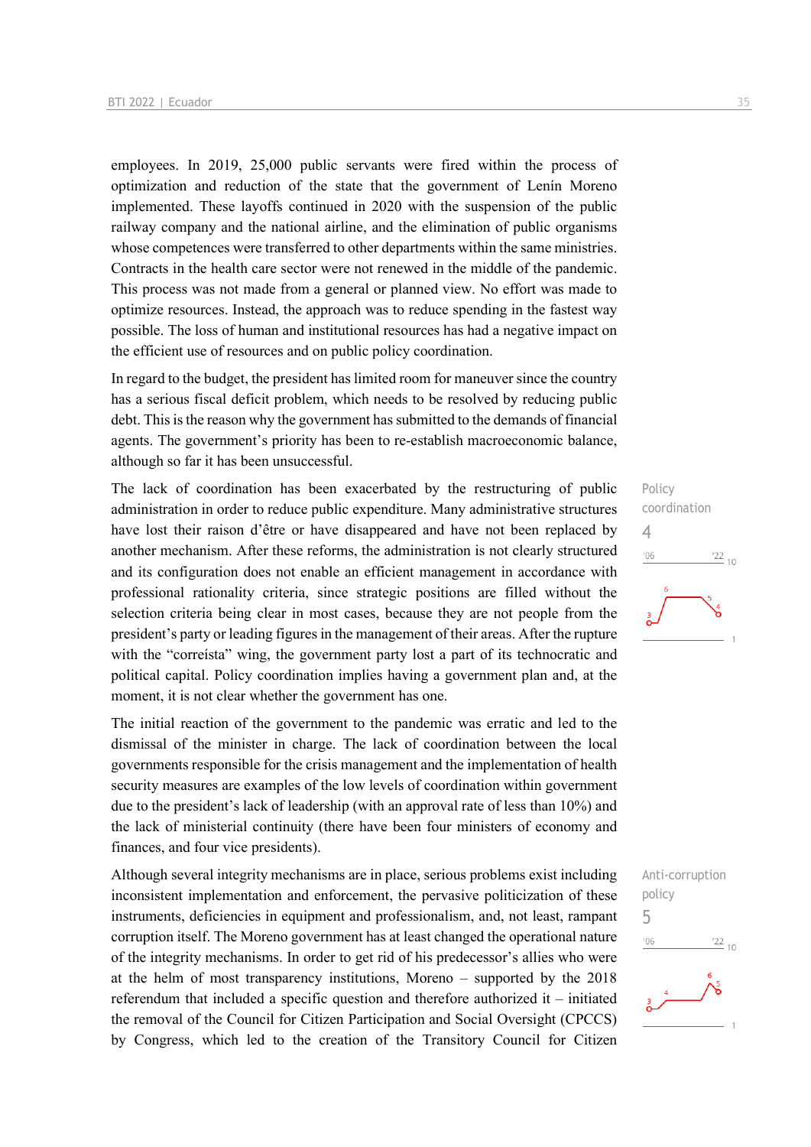employees. In 2019, 25,000 public servants were fired within the process of optimization and reduction of the state that the government of Lenín Moreno implemented. These layoffs continued in 2020 with the suspension of the public railway company and the national airline, and the elimination of public organisms whose competences were transferred to other departments within the same ministries. Contracts in the health care sector were not renewed in the middle of the pandemic. This process was not made from a general or planned view. No effort was made to optimize resources. Instead, the approach was to reduce spending in the fastest way possible. The loss of human and institutional resources has had a negative impact on the efficient use of resources and on public policy coordination.

In regard to the budget, the president has limited room for maneuver since the country has a serious fiscal deficit problem, which needs to be resolved by reducing public debt. This is the reason why the government has submitted to the demands of financial agents. The government's priority has been to re-establish macroeconomic balance, although so far it has been unsuccessful.

The lack of coordination has been exacerbated by the restructuring of public administration in order to reduce public expenditure. Many administrative structures have lost their raison d'être or have disappeared and have not been replaced by another mechanism. After these reforms, the administration is not clearly structured and its configuration does not enable an efficient management in accordance with professional rationality criteria, since strategic positions are filled without the selection criteria being clear in most cases, because they are not people from the president's party or leading figures in the management of their areas. After the rupture with the "correista" wing, the government party lost a part of its technocratic and political capital. Policy coordination implies having a government plan and, at the moment, it is not clear whether the government has one.

The initial reaction of the government to the pandemic was erratic and led to the dismissal of the minister in charge. The lack of coordination between the local governments responsible for the crisis management and the implementation of health security measures are examples of the low levels of coordination within government due to the president's lack of leadership (with an approval rate of less than 10%) and the lack of ministerial continuity (there have been four ministers of economy and finances, and four vice presidents).

Although several integrity mechanisms are in place, serious problems exist including inconsistent implementation and enforcement, the pervasive politicization of these instruments, deficiencies in equipment and professionalism, and, not least, rampant corruption itself. The Moreno government has at least changed the operational nature of the integrity mechanisms. In order to get rid of his predecessor's allies who were at the helm of most transparency institutions, Moreno – supported by the 2018 referendum that included a specific question and therefore authorized it – initiated the removal of the Council for Citizen Participation and Social Oversight (CPCCS) by Congress, which led to the creation of the Transitory Council for Citizen

Policy coordination 4  $\frac{22}{10}$  $'06$ 

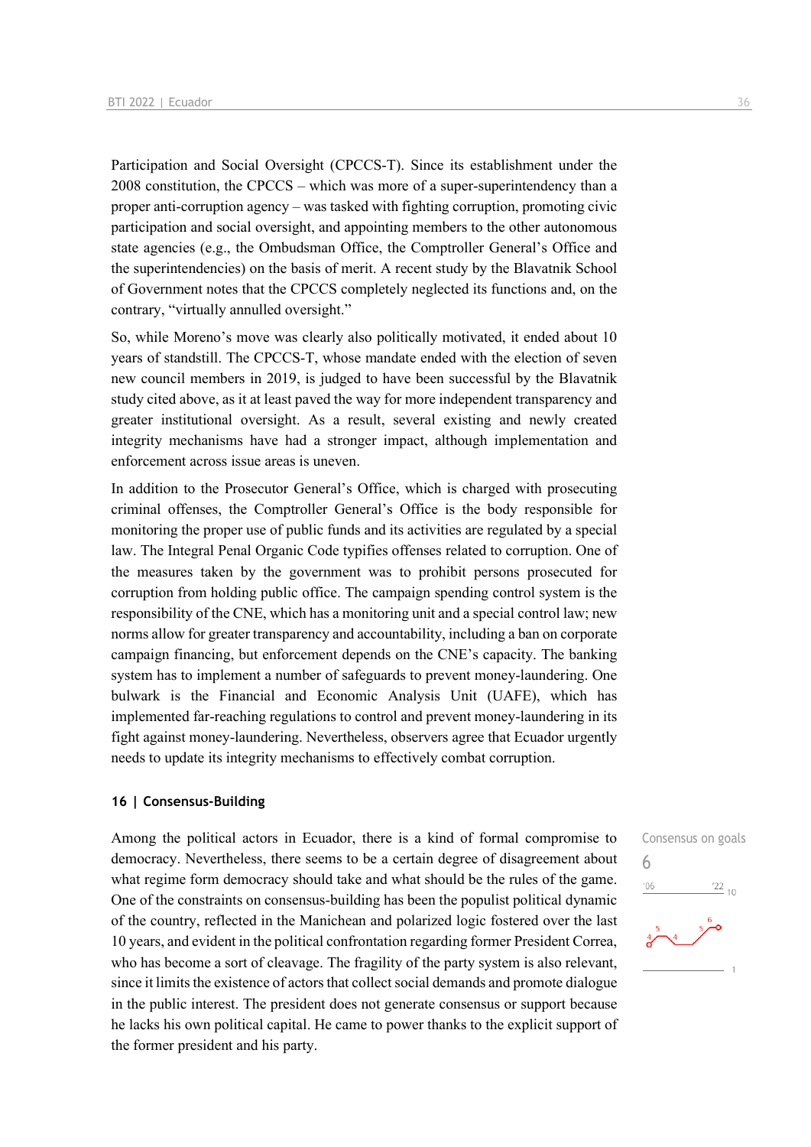Participation and Social Oversight (CPCCS-T). Since its establishment under the 2008 constitution, the CPCCS – which was more of a super-superintendency than a proper anti-corruption agency – was tasked with fighting corruption, promoting civic participation and social oversight, and appointing members to the other autonomous state agencies (e.g., the Ombudsman Office, the Comptroller General's Office and the superintendencies) on the basis of merit. A recent study by the Blavatnik School of Government notes that the CPCCS completely neglected its functions and, on the contrary, "virtually annulled oversight."

So, while Moreno's move was clearly also politically motivated, it ended about 10 years of standstill. The CPCCS-T, whose mandate ended with the election of seven new council members in 2019, is judged to have been successful by the Blavatnik study cited above, as it at least paved the way for more independent transparency and greater institutional oversight. As a result, several existing and newly created integrity mechanisms have had a stronger impact, although implementation and enforcement across issue areas is uneven.

In addition to the Prosecutor General's Office, which is charged with prosecuting criminal offenses, the Comptroller General's Office is the body responsible for monitoring the proper use of public funds and its activities are regulated by a special law. The Integral Penal Organic Code typifies offenses related to corruption. One of the measures taken by the government was to prohibit persons prosecuted for corruption from holding public office. The campaign spending control system is the responsibility of the CNE, which has a monitoring unit and a special control law; new norms allow for greater transparency and accountability, including a ban on corporate campaign financing, but enforcement depends on the CNE's capacity. The banking system has to implement a number of safeguards to prevent money-laundering. One bulwark is the Financial and Economic Analysis Unit (UAFE), which has implemented far-reaching regulations to control and prevent money-laundering in its fight against money-laundering. Nevertheless, observers agree that Ecuador urgently needs to update its integrity mechanisms to effectively combat corruption.

### **16 | Consensus-Building**

Among the political actors in Ecuador, there is a kind of formal compromise to democracy. Nevertheless, there seems to be a certain degree of disagreement about what regime form democracy should take and what should be the rules of the game. One of the constraints on consensus-building has been the populist political dynamic of the country, reflected in the Manichean and polarized logic fostered over the last 10 years, and evident in the political confrontation regarding former President Correa, who has become a sort of cleavage. The fragility of the party system is also relevant, since it limits the existence of actors that collect social demands and promote dialogue in the public interest. The president does not generate consensus or support because he lacks his own political capital. He came to power thanks to the explicit support of the former president and his party.

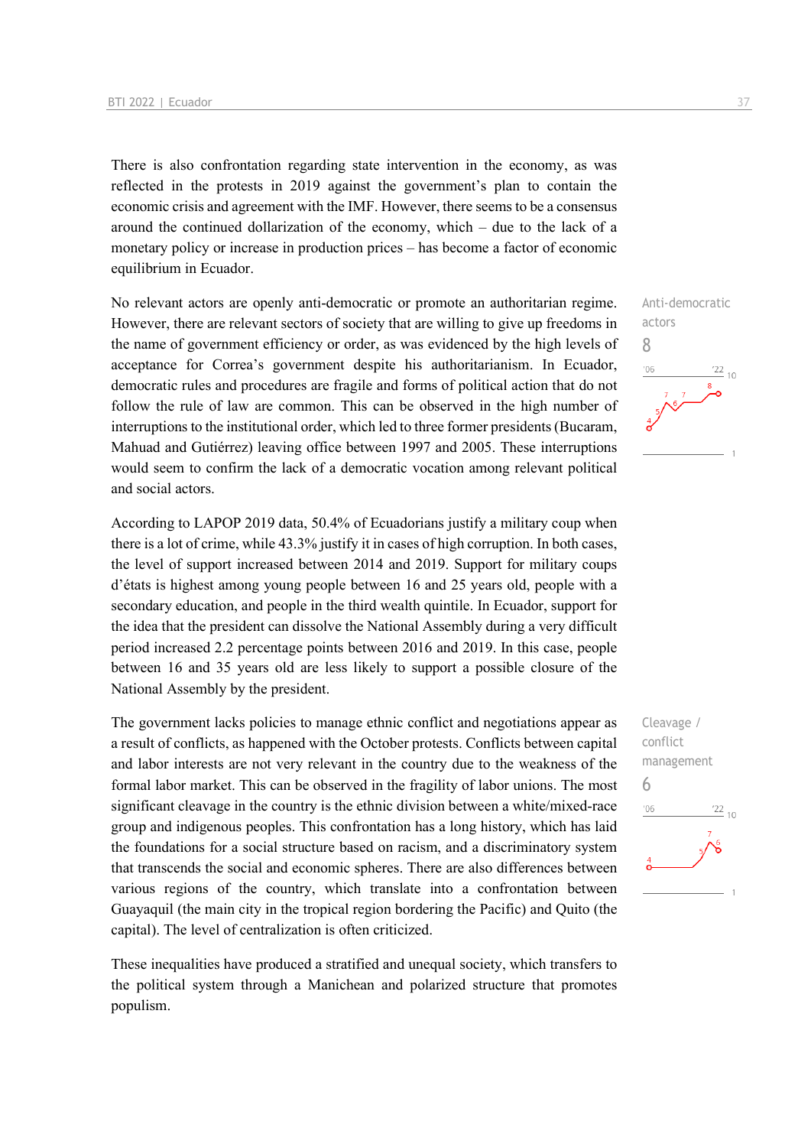There is also confrontation regarding state intervention in the economy, as was reflected in the protests in 2019 against the government's plan to contain the economic crisis and agreement with the IMF. However, there seems to be a consensus around the continued dollarization of the economy, which – due to the lack of a monetary policy or increase in production prices – has become a factor of economic equilibrium in Ecuador.

No relevant actors are openly anti-democratic or promote an authoritarian regime. However, there are relevant sectors of society that are willing to give up freedoms in the name of government efficiency or order, as was evidenced by the high levels of acceptance for Correa's government despite his authoritarianism. In Ecuador, democratic rules and procedures are fragile and forms of political action that do not follow the rule of law are common. This can be observed in the high number of interruptions to the institutional order, which led to three former presidents (Bucaram, Mahuad and Gutiérrez) leaving office between 1997 and 2005. These interruptions would seem to confirm the lack of a democratic vocation among relevant political and social actors.

According to LAPOP 2019 data, 50.4% of Ecuadorians justify a military coup when there is a lot of crime, while 43.3% justify it in cases of high corruption. In both cases, the level of support increased between 2014 and 2019. Support for military coups d'états is highest among young people between 16 and 25 years old, people with a secondary education, and people in the third wealth quintile. In Ecuador, support for the idea that the president can dissolve the National Assembly during a very difficult period increased 2.2 percentage points between 2016 and 2019. In this case, people between 16 and 35 years old are less likely to support a possible closure of the National Assembly by the president.

The government lacks policies to manage ethnic conflict and negotiations appear as a result of conflicts, as happened with the October protests. Conflicts between capital and labor interests are not very relevant in the country due to the weakness of the formal labor market. This can be observed in the fragility of labor unions. The most significant cleavage in the country is the ethnic division between a white/mixed-race group and indigenous peoples. This confrontation has a long history, which has laid the foundations for a social structure based on racism, and a discriminatory system that transcends the social and economic spheres. There are also differences between various regions of the country, which translate into a confrontation between Guayaquil (the main city in the tropical region bordering the Pacific) and Quito (the capital). The level of centralization is often criticized.

These inequalities have produced a stratified and unequal society, which transfers to the political system through a Manichean and polarized structure that promotes populism.



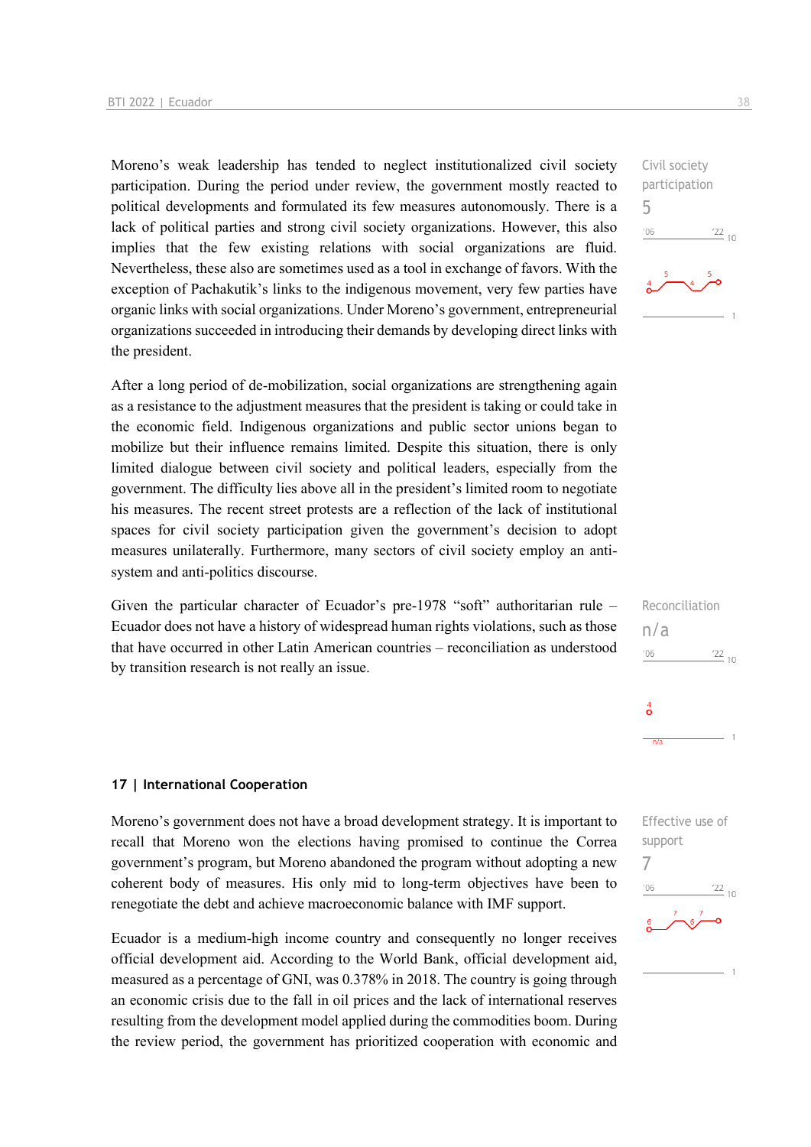Moreno's weak leadership has tended to neglect institutionalized civil society participation. During the period under review, the government mostly reacted to political developments and formulated its few measures autonomously. There is a lack of political parties and strong civil society organizations. However, this also implies that the few existing relations with social organizations are fluid. Nevertheless, these also are sometimes used as a tool in exchange of favors. With the exception of Pachakutik's links to the indigenous movement, very few parties have organic links with social organizations. Under Moreno's government, entrepreneurial organizations succeeded in introducing their demands by developing direct links with the president.

After a long period of de-mobilization, social organizations are strengthening again as a resistance to the adjustment measures that the president is taking or could take in the economic field. Indigenous organizations and public sector unions began to mobilize but their influence remains limited. Despite this situation, there is only limited dialogue between civil society and political leaders, especially from the government. The difficulty lies above all in the president's limited room to negotiate his measures. The recent street protests are a reflection of the lack of institutional spaces for civil society participation given the government's decision to adopt measures unilaterally. Furthermore, many sectors of civil society employ an antisystem and anti-politics discourse.

Given the particular character of Ecuador's pre-1978 "soft" authoritarian rule – Ecuador does not have a history of widespread human rights violations, such as those that have occurred in other Latin American countries – reconciliation as understood by transition research is not really an issue.

### **17 | International Cooperation**

Moreno's government does not have a broad development strategy. It is important to recall that Moreno won the elections having promised to continue the Correa government's program, but Moreno abandoned the program without adopting a new coherent body of measures. His only mid to long-term objectives have been to renegotiate the debt and achieve macroeconomic balance with IMF support.

Ecuador is a medium-high income country and consequently no longer receives official development aid. According to the World Bank, official development aid, measured as a percentage of GNI, was 0.378% in 2018. The country is going through an economic crisis due to the fall in oil prices and the lack of international reserves resulting from the development model applied during the commodities boom. During the review period, the government has prioritized cooperation with economic and 5

 $-06$ 



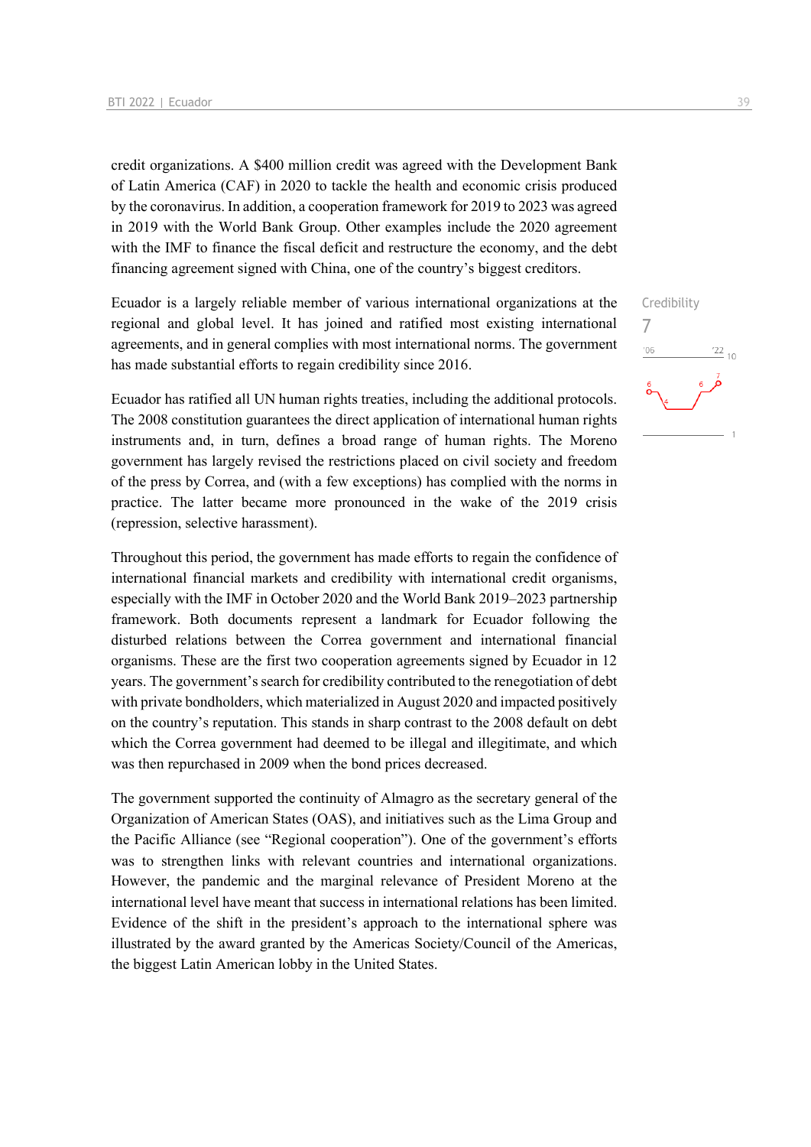credit organizations. A \$400 million credit was agreed with the Development Bank of Latin America (CAF) in 2020 to tackle the health and economic crisis produced by the coronavirus. In addition, a cooperation framework for 2019 to 2023 was agreed in 2019 with the World Bank Group. Other examples include the 2020 agreement with the IMF to finance the fiscal deficit and restructure the economy, and the debt financing agreement signed with China, one of the country's biggest creditors.

Ecuador is a largely reliable member of various international organizations at the regional and global level. It has joined and ratified most existing international agreements, and in general complies with most international norms. The government has made substantial efforts to regain credibility since 2016.

Ecuador has ratified all UN human rights treaties, including the additional protocols. The 2008 constitution guarantees the direct application of international human rights instruments and, in turn, defines a broad range of human rights. The Moreno government has largely revised the restrictions placed on civil society and freedom of the press by Correa, and (with a few exceptions) has complied with the norms in practice. The latter became more pronounced in the wake of the 2019 crisis (repression, selective harassment).

Throughout this period, the government has made efforts to regain the confidence of international financial markets and credibility with international credit organisms, especially with the IMF in October 2020 and the World Bank 2019–2023 partnership framework. Both documents represent a landmark for Ecuador following the disturbed relations between the Correa government and international financial organisms. These are the first two cooperation agreements signed by Ecuador in 12 years. The government's search for credibility contributed to the renegotiation of debt with private bondholders, which materialized in August 2020 and impacted positively on the country's reputation. This stands in sharp contrast to the 2008 default on debt which the Correa government had deemed to be illegal and illegitimate, and which was then repurchased in 2009 when the bond prices decreased.

The government supported the continuity of Almagro as the secretary general of the Organization of American States (OAS), and initiatives such as the Lima Group and the Pacific Alliance (see "Regional cooperation"). One of the government's efforts was to strengthen links with relevant countries and international organizations. However, the pandemic and the marginal relevance of President Moreno at the international level have meant that success in international relations has been limited. Evidence of the shift in the president's approach to the international sphere was illustrated by the award granted by the Americas Society/Council of the Americas, the biggest Latin American lobby in the United States.

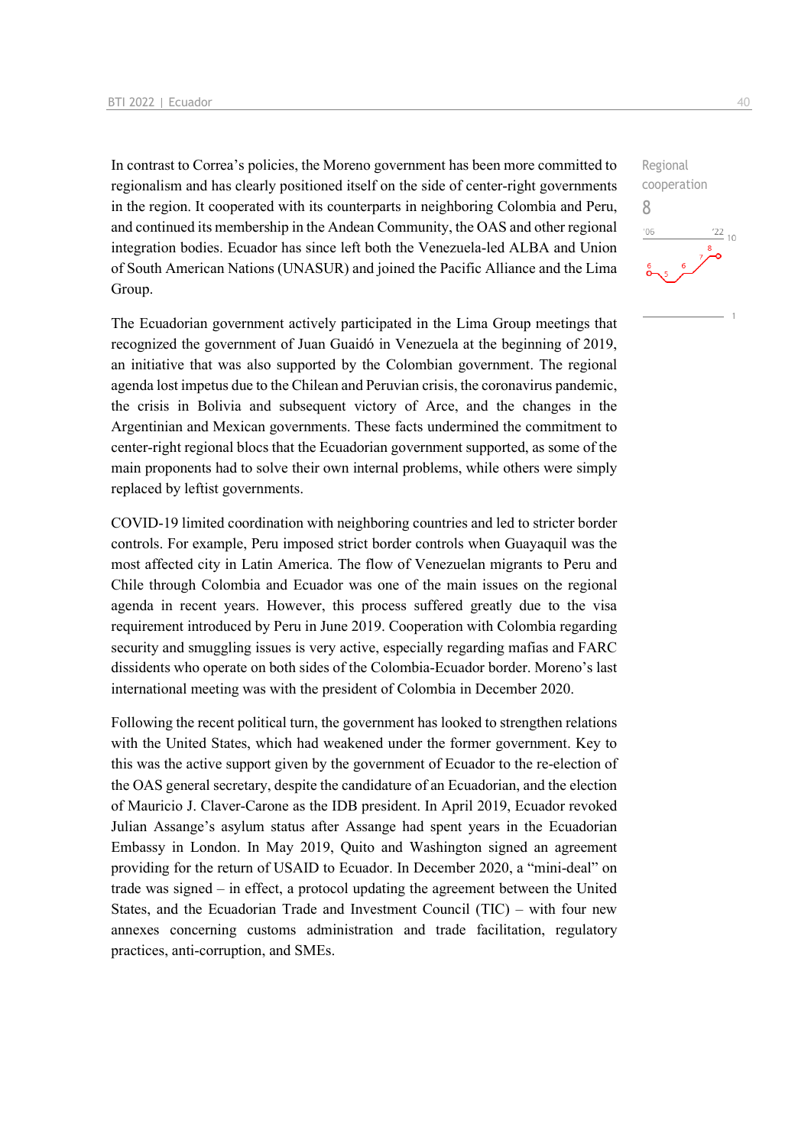In contrast to Correa's policies, the Moreno government has been more committed to regionalism and has clearly positioned itself on the side of center-right governments in the region. It cooperated with its counterparts in neighboring Colombia and Peru, and continued its membership in the Andean Community, the OAS and other regional integration bodies. Ecuador has since left both the Venezuela-led ALBA and Union of South American Nations (UNASUR) and joined the Pacific Alliance and the Lima Group.

The Ecuadorian government actively participated in the Lima Group meetings that recognized the government of Juan Guaidó in Venezuela at the beginning of 2019, an initiative that was also supported by the Colombian government. The regional agenda lost impetus due to the Chilean and Peruvian crisis, the coronavirus pandemic, the crisis in Bolivia and subsequent victory of Arce, and the changes in the Argentinian and Mexican governments. These facts undermined the commitment to center-right regional blocs that the Ecuadorian government supported, as some of the main proponents had to solve their own internal problems, while others were simply replaced by leftist governments.

COVID-19 limited coordination with neighboring countries and led to stricter border controls. For example, Peru imposed strict border controls when Guayaquil was the most affected city in Latin America. The flow of Venezuelan migrants to Peru and Chile through Colombia and Ecuador was one of the main issues on the regional agenda in recent years. However, this process suffered greatly due to the visa requirement introduced by Peru in June 2019. Cooperation with Colombia regarding security and smuggling issues is very active, especially regarding mafias and FARC dissidents who operate on both sides of the Colombia-Ecuador border. Moreno's last international meeting was with the president of Colombia in December 2020.

Following the recent political turn, the government has looked to strengthen relations with the United States, which had weakened under the former government. Key to this was the active support given by the government of Ecuador to the re-election of the OAS general secretary, despite the candidature of an Ecuadorian, and the election of Mauricio J. Claver-Carone as the IDB president. In April 2019, Ecuador revoked Julian Assange's asylum status after Assange had spent years in the Ecuadorian Embassy in London. In May 2019, Quito and Washington signed an agreement providing for the return of USAID to Ecuador. In December 2020, a "mini-deal" on trade was signed – in effect, a protocol updating the agreement between the United States, and the Ecuadorian Trade and Investment Council (TIC) – with four new annexes concerning customs administration and trade facilitation, regulatory practices, anti-corruption, and SMEs.